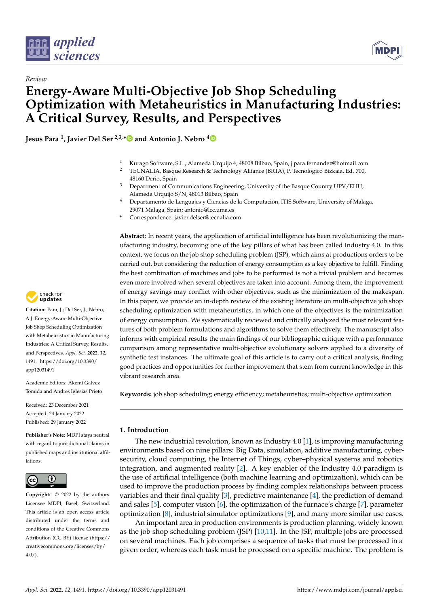



# *Review* **Energy-Aware Multi-Objective Job Shop Scheduling Optimization with Metaheuristics in Manufacturing Industries: A Critical Survey, Results, and Perspectives**

**Jesus Para <sup>1</sup> , Javier Del Ser 2,3,[\\*](https://orcid.org/0000-0002-1260-9775) and Antonio J. Nebro [4](https://orcid.org/0000-0001-5580-0484)**

- <sup>1</sup> Kurago Software, S.L., Alameda Urquijo 4, 48008 Bilbao, Spain; j.para.fernandez@hotmail.com
- <sup>2</sup> TECNALIA, Basque Research & Technology Alliance (BRTA), P. Tecnologico Bizkaia, Ed. 700, 48160 Derio, Spain
- <sup>3</sup> Department of Communications Engineering, University of the Basque Country UPV/EHU, Alameda Urquijo S/N, 48013 Bilbao, Spain
- <sup>4</sup> Departamento de Lenguajes y Ciencias de la Computación, ITIS Software, University of Malaga, 29071 Malaga, Spain; antonio@lcc.uma.es
- **\*** Correspondence: javier.delser@tecnalia.com

**Abstract:** In recent years, the application of artificial intelligence has been revolutionizing the manufacturing industry, becoming one of the key pillars of what has been called Industry 4.0. In this context, we focus on the job shop scheduling problem (JSP), which aims at productions orders to be carried out, but considering the reduction of energy consumption as a key objective to fulfill. Finding the best combination of machines and jobs to be performed is not a trivial problem and becomes even more involved when several objectives are taken into account. Among them, the improvement of energy savings may conflict with other objectives, such as the minimization of the makespan. In this paper, we provide an in-depth review of the existing literature on multi-objective job shop scheduling optimization with metaheuristics, in which one of the objectives is the minimization of energy consumption. We systematically reviewed and critically analyzed the most relevant features of both problem formulations and algorithms to solve them effectively. The manuscript also informs with empirical results the main findings of our bibliographic critique with a performance comparison among representative multi-objective evolutionary solvers applied to a diversity of synthetic test instances. The ultimate goal of this article is to carry out a critical analysis, finding good practices and opportunities for further improvement that stem from current knowledge in this vibrant research area.

**Keywords:** job shop scheduling; energy efficiency; metaheuristics; multi-objective optimization

# **1. Introduction**

The new industrial revolution, known as Industry 4.0 [\[1\]](#page-25-0), is improving manufacturing environments based on nine pillars: Big Data, simulation, additive manufacturing, cybersecurity, cloud computing, the Internet of Things, cyber–physical systems and robotics integration, and augmented reality [\[2\]](#page-25-1). A key enabler of the Industry 4.0 paradigm is the use of artificial intelligence (both machine learning and optimization), which can be used to improve the production process by finding complex relationships between process variables and their final quality [\[3\]](#page-25-2), predictive maintenance [\[4\]](#page-25-3), the prediction of demand and sales [\[5\]](#page-25-4), computer vision [\[6\]](#page-25-5), the optimization of the furnace's charge [\[7\]](#page-25-6), parameter optimization [\[8\]](#page-25-7), industrial simulator optimizations [\[9\]](#page-25-8), and many more similar use cases.

An important area in production environments is production planning, widely known as the job shop scheduling problem (JSP) [\[10,](#page-25-9)[11\]](#page-25-10). In the JSP, multiple jobs are processed on several machines. Each job comprises a sequence of tasks that must be processed in a given order, whereas each task must be processed on a specific machine. The problem is



**Citation:** Para, J.; Del Ser, J.; Nebro, A.J. Energy-Aware Multi-Objective Job Shop Scheduling Optimization with Metaheuristics in Manufacturing Industries: A Critical Survey, Results, and Perspectives. *Appl. Sci.* **2022**, *12*, 1491. [https://doi.org/10.3390/](https://doi.org/10.3390/app12031491) [app12031491](https://doi.org/10.3390/app12031491)

Academic Editors: Akemi Galvez Tomida and Andres Iglesias Prieto

Received: 23 December 2021 Accepted: 24 January 2022 Published: 29 January 2022

**Publisher's Note:** MDPI stays neutral with regard to jurisdictional claims in published maps and institutional affiliations.



**Copyright:** © 2022 by the authors. Licensee MDPI, Basel, Switzerland. This article is an open access article distributed under the terms and conditions of the Creative Commons Attribution (CC BY) license [\(https://](https://creativecommons.org/licenses/by/4.0/) [creativecommons.org/licenses/by/](https://creativecommons.org/licenses/by/4.0/)  $4.0/$ ).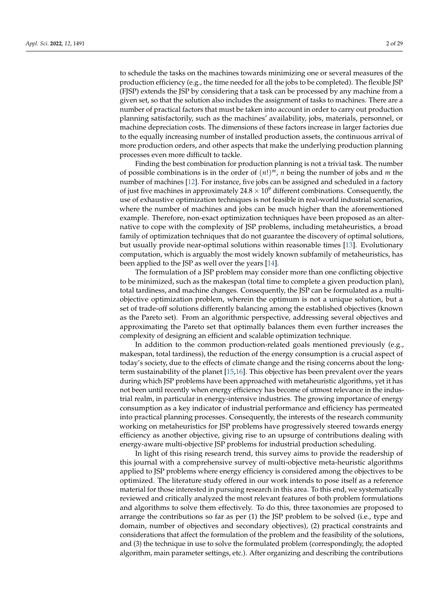to schedule the tasks on the machines towards minimizing one or several measures of the production efficiency (e.g., the time needed for all the jobs to be completed). The flexible JSP (FJSP) extends the JSP by considering that a task can be processed by any machine from a given set, so that the solution also includes the assignment of tasks to machines. There are a number of practical factors that must be taken into account in order to carry out production planning satisfactorily, such as the machines' availability, jobs, materials, personnel, or machine depreciation costs. The dimensions of these factors increase in larger factories due to the equally increasing number of installed production assets, the continuous arrival of more production orders, and other aspects that make the underlying production planning processes even more difficult to tackle.

Finding the best combination for production planning is not a trivial task. The number of possible combinations is in the order of (*n*!) *<sup>m</sup>*, *n* being the number of jobs and *m* the number of machines [\[12\]](#page-25-11). For instance, five jobs can be assigned and scheduled in a factory of just five machines in approximately  $24.8 \times 10^9$  different combinations. Consequently, the use of exhaustive optimization techniques is not feasible in real-world industrial scenarios, where the number of machines and jobs can be much higher than the aforementioned example. Therefore, non-exact optimization techniques have been proposed as an alternative to cope with the complexity of JSP problems, including metaheuristics, a broad family of optimization techniques that do not guarantee the discovery of optimal solutions, but usually provide near-optimal solutions within reasonable times [\[13\]](#page-25-12). Evolutionary computation, which is arguably the most widely known subfamily of metaheuristics, has been applied to the JSP as well over the years [\[14\]](#page-25-13).

The formulation of a JSP problem may consider more than one conflicting objective to be minimized, such as the makespan (total time to complete a given production plan), total tardiness, and machine changes. Consequently, the JSP can be formulated as a multiobjective optimization problem, wherein the optimum is not a unique solution, but a set of trade-off solutions differently balancing among the established objectives (known as the Pareto set). From an algorithmic perspective, addressing several objectives and approximating the Pareto set that optimally balances them even further increases the complexity of designing an efficient and scalable optimization technique.

In addition to the common production-related goals mentioned previously (e.g., makespan, total tardiness), the reduction of the energy consumption is a crucial aspect of today's society, due to the effects of climate change and the rising concerns about the longterm sustainability of the planet [\[15,](#page-25-14)[16\]](#page-25-15). This objective has been prevalent over the years during which JSP problems have been approached with metaheuristic algorithms, yet it has not been until recently when energy efficiency has become of utmost relevance in the industrial realm, in particular in energy-intensive industries. The growing importance of energy consumption as a key indicator of industrial performance and efficiency has permeated into practical planning processes. Consequently, the interests of the research community working on metaheuristics for JSP problems have progressively steered towards energy efficiency as another objective, giving rise to an upsurge of contributions dealing with energy-aware multi-objective JSP problems for industrial production scheduling.

In light of this rising research trend, this survey aims to provide the readership of this journal with a comprehensive survey of multi-objective meta-heuristic algorithms applied to JSP problems where energy efficiency is considered among the objectives to be optimized. The literature study offered in our work intends to pose itself as a reference material for those interested in pursuing research in this area. To this end, we systematically reviewed and critically analyzed the most relevant features of both problem formulations and algorithms to solve them effectively. To do this, three taxonomies are proposed to arrange the contributions so far as per (1) the JSP problem to be solved (i.e., type and domain, number of objectives and secondary objectives), (2) practical constraints and considerations that affect the formulation of the problem and the feasibility of the solutions, and (3) the technique in use to solve the formulated problem (correspondingly, the adopted algorithm, main parameter settings, etc.). After organizing and describing the contributions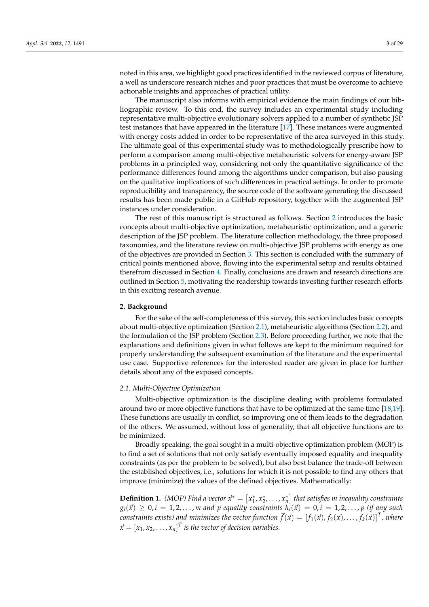noted in this area, we highlight good practices identified in the reviewed corpus of literature, a well as underscore research niches and poor practices that must be overcome to achieve actionable insights and approaches of practical utility.

The manuscript also informs with empirical evidence the main findings of our bibliographic review. To this end, the survey includes an experimental study including representative multi-objective evolutionary solvers applied to a number of synthetic JSP test instances that have appeared in the literature [\[17\]](#page-25-16). These instances were augmented with energy costs added in order to be representative of the area surveyed in this study. The ultimate goal of this experimental study was to methodologically prescribe how to perform a comparison among multi-objective metaheuristic solvers for energy-aware JSP problems in a principled way, considering not only the quantitative significance of the performance differences found among the algorithms under comparison, but also pausing on the qualitative implications of such differences in practical settings. In order to promote reproducibility and transparency, the source code of the software generating the discussed results has been made public in a GitHub repository, together with the augmented JSP instances under consideration.

The rest of this manuscript is structured as follows. Section [2](#page-2-0) introduces the basic concepts about multi-objective optimization, metaheuristic optimization, and a generic description of the JSP problem. The literature collection methodology, the three proposed taxonomies, and the literature review on multi-objective JSP problems with energy as one of the objectives are provided in Section [3.](#page-5-0) This section is concluded with the summary of critical points mentioned above, flowing into the experimental setup and results obtained therefrom discussed in Section [4.](#page-16-0) Finally, conclusions are drawn and research directions are outlined in Section [5,](#page-23-0) motivating the readership towards investing further research efforts in this exciting research avenue.

#### <span id="page-2-0"></span>**2. Background**

For the sake of the self-completeness of this survey, this section includes basic concepts about multi-objective optimization (Section [2.1\)](#page-2-1), metaheuristic algorithms (Section [2.2\)](#page-3-0), and the formulation of the JSP problem (Section [2.3\)](#page-4-0). Before proceeding further, we note that the explanations and definitions given in what follows are kept to the minimum required for properly understanding the subsequent examination of the literature and the experimental use case. Supportive references for the interested reader are given in place for further details about any of the exposed concepts.

#### <span id="page-2-1"></span>*2.1. Multi-Objective Optimization*

Multi-objective optimization is the discipline dealing with problems formulated around two or more objective functions that have to be optimized at the same time [\[18](#page-25-17)[,19\]](#page-25-18). These functions are usually in conflict, so improving one of them leads to the degradation of the others. We assumed, without loss of generality, that all objective functions are to be minimized.

Broadly speaking, the goal sought in a multi-objective optimization problem (MOP) is to find a set of solutions that not only satisfy eventually imposed equality and inequality constraints (as per the problem to be solved), but also best balance the trade-off between the established objectives, i.e., solutions for which it is not possible to find any others that improve (minimize) the values of the defined objectives. Mathematically:

**Definition 1.** *(MOP)* Find a vector  $\vec{x}^* = [x_1^*, x_2^*, \ldots, x_n^*]$  that satisfies *m* inequality constraints  $g_i(\vec{x}) \geq 0, i = 1, 2, \ldots, m$  and p equality constraints  $h_i(\vec{x}) = 0, i = 1, 2, \ldots, p$  (if any such  $f(x) = [f_1(\vec{x}), f_2(\vec{x}), \ldots, f_k(\vec{x})]^T$ , where  $\vec{x} = [x_1, x_2, \dots, x_n]^T$  is the vector of decision variables.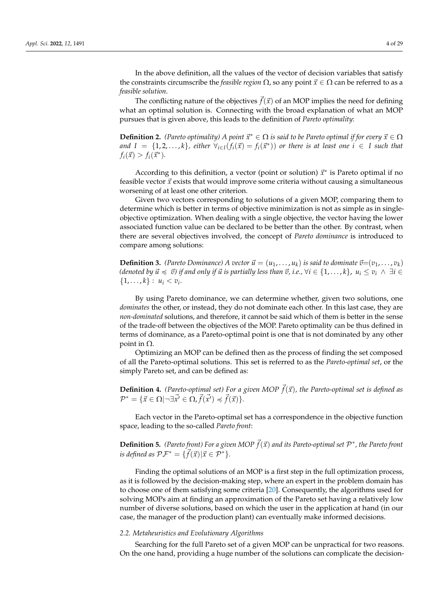In the above definition, all the values of the vector of decision variables that satisfy the constraints circumscribe the *feasible region*  $\Omega$ , so any point  $\vec{x} \in \Omega$  can be referred to as a *feasible solution*.

The conflicting nature of the objectives  $\vec{f}(\vec{x})$  of an MOP implies the need for defining what an optimal solution is. Connecting with the broad explanation of what an MOP pursues that is given above, this leads to the definition of *Pareto optimality*:

**Definition 2.** *(Pareto optimality)* A point  $\vec{x}^* \in \Omega$  *is said to be Pareto optimal if for every*  $\vec{x} \in \Omega$  $I = \{1, 2, \ldots, k\}$ , either  $\forall_{i \in I} (f_i(\vec{x}) = f_i(\vec{x}^*))$  or there is at least one  $i \in I$  such that  $f_i(\vec{x}) > f_i(\vec{x}^*)$ .

According to this definition, a vector (point or solution)  $\vec{x}^*$  is Pareto optimal if no feasible vector  $\vec{x}$  exists that would improve some criteria without causing a simultaneous worsening of at least one other criterion.

Given two vectors corresponding to solutions of a given MOP, comparing them to determine which is better in terms of objective minimization is not as simple as in singleobjective optimization. When dealing with a single objective, the vector having the lower associated function value can be declared to be better than the other. By contrast, when there are several objectives involved, the concept of *Pareto dominance* is introduced to compare among solutions:

**Definition 3.** *(Pareto Dominance)* A vector  $\vec{u} = (u_1, \ldots, u_k)$  is said to dominate  $\vec{v} = (v_1, \ldots, v_k)$  $(i$  *denoted by*  $\vec{u} \preccurlyeq \vec{v}$  *if and only if*  $\vec{u}$  *is partially less than*  $\vec{v}$ , *i.e.*,  $\forall i \in \{1, \dots, k\}$ ,  $u_i \le v_i \land \exists i \in$  $\{1, \ldots, k\} : u_i < v_i.$ 

By using Pareto dominance, we can determine whether, given two solutions, one *dominates* the other, or instead, they do not dominate each other. In this last case, they are *non-dominated* solutions, and therefore, it cannot be said which of them is better in the sense of the trade-off between the objectives of the MOP. Pareto optimality can be thus defined in terms of dominance, as a Pareto-optimal point is one that is not dominated by any other point in  $Ω$ .

Optimizing an MOP can be defined then as the process of finding the set composed of all the Pareto-optimal solutions. This set is referred to as the *Pareto-optimal set*, or the simply Pareto set, and can be defined as:

**Definition 4.** *(Pareto-optimal set)* For a given MOP  $\vec{f}(\vec{x})$ *, the Pareto-optimal set is defined as*  $\mathcal{P}^* = {\{\vec{x} \in \Omega | \neg \exists \vec{x'} \in \Omega, \vec{f}(\vec{x'}) \preccurlyeq \vec{f}(\vec{x})\}.$ 

Each vector in the Pareto-optimal set has a correspondence in the objective function space, leading to the so-called *Pareto front*:

**Definition 5.** *(Pareto front)* For a given MOP  $\vec{f}(\vec{x})$  and its Pareto-optimal set  $\mathcal{P}^*$ , the Pareto front *is defined as*  $\mathcal{PF}^* = \{\vec{f}(\vec{x})|\vec{x} \in \mathcal{P}^*\}.$ 

Finding the optimal solutions of an MOP is a first step in the full optimization process, as it is followed by the decision-making step, where an expert in the problem domain has to choose one of them satisfying some criteria [\[20\]](#page-25-19). Consequently, the algorithms used for solving MOPs aim at finding an approximation of the Pareto set having a relatively low number of diverse solutions, based on which the user in the application at hand (in our case, the manager of the production plant) can eventually make informed decisions.

#### <span id="page-3-0"></span>*2.2. Metaheuristics and Evolutionary Algorithms*

Searching for the full Pareto set of a given MOP can be unpractical for two reasons. On the one hand, providing a huge number of the solutions can complicate the decision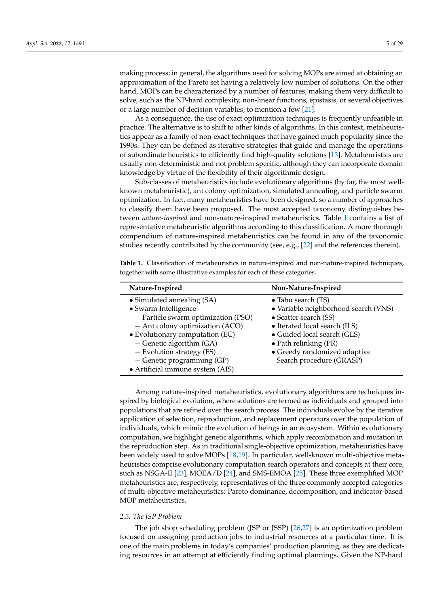making process; in general, the algorithms used for solving MOPs are aimed at obtaining an approximation of the Pareto set having a relatively low number of solutions. On the other hand, MOPs can be characterized by a number of features, making them very difficult to solve, such as the NP-hard complexity, non-linear functions, epistasis, or several objectives or a large number of decision variables, to mention a few [\[21\]](#page-25-20).

As a consequence, the use of exact optimization techniques is frequently unfeasible in practice. The alternative is to shift to other kinds of algorithms. In this context, metaheuristics appear as a family of non-exact techniques that have gained much popularity since the 1990s. They can be defined as iterative strategies that guide and manage the operations of subordinate heuristics to efficiently find high-quality solutions [\[13\]](#page-25-12). Metaheuristics are usually non-deterministic and not problem specific, although they can incorporate domain knowledge by virtue of the flexibility of their algorithmic design.

Sub-classes of metaheuristics include evolutionary algorithms (by far, the most wellknown metaheuristic), ant colony optimization, simulated annealing, and particle swarm optimization. In fact, many metaheuristics have been designed, so a number of approaches to classify them have been proposed. The most accepted taxonomy distinguishes between *nature-inspired* and non-nature-inspired metaheuristics. Table [1](#page-4-1) contains a list of representative metaheuristic algorithms according to this classification. A more thorough compendium of nature-inspired metaheuristics can be found in any of the taxonomic studies recently contributed by the community (see, e.g., [\[22\]](#page-25-21) and the references therein).

<span id="page-4-1"></span>**Table 1.** Classification of metaheuristics in nature-inspired and non-nature-inspired techniques, together with some illustrative examples for each of these categories.

| Nature-Inspired                                                                                                                                                                                                                                                                                | Non-Nature-Inspired                                                                                                                                                                                                                              |
|------------------------------------------------------------------------------------------------------------------------------------------------------------------------------------------------------------------------------------------------------------------------------------------------|--------------------------------------------------------------------------------------------------------------------------------------------------------------------------------------------------------------------------------------------------|
| • Simulated annealing (SA)<br>• Swarm Intelligence<br>- Particle swarm optimization (PSO)<br>- Ant colony optimization (ACO)<br>• Evolutionary computation (EC)<br>$-$ Genetic algorithm (GA)<br>- Evolution strategy (ES)<br>$-$ Genetic programming (GP)<br>• Artificial immune system (AIS) | • Tabu search (TS)<br>• Variable neighborhood search (VNS)<br>• Scatter search (SS)<br>• Iterated local search (ILS)<br>• Guided local search (GLS)<br>$\bullet$ Path relinking (PR)<br>• Greedy randomized adaptive<br>Search procedure (GRASP) |

Among nature-inspired metaheuristics, evolutionary algorithms are techniques inspired by biological evolution, where solutions are termed as individuals and grouped into populations that are refined over the search process. The individuals evolve by the iterative application of selection, reproduction, and replacement operators over the population of individuals, which mimic the evolution of beings in an ecosystem. Within evolutionary computation, we highlight genetic algorithms, which apply recombination and mutation in the reproduction step. As in traditional single-objective optimization, metaheuristics have been widely used to solve MOPs [\[18,](#page-25-17)[19\]](#page-25-18). In particular, well-known multi-objective metaheuristics comprise evolutionary computation search operators and concepts at their core, such as NSGA-II [\[23\]](#page-25-22), MOEA/D [\[24\]](#page-25-23), and SMS-EMOA [\[25\]](#page-25-24). These three exemplified MOP metaheuristics are, respectively, representatives of the three commonly accepted categories of multi-objective metaheuristics: Pareto dominance, decomposition, and indicator-based MOP metaheuristics.

# <span id="page-4-0"></span>*2.3. The JSP Problem*

The job shop scheduling problem (JSP or JSSP) [\[26,](#page-25-25)[27\]](#page-26-0) is an optimization problem focused on assigning production jobs to industrial resources at a particular time. It is one of the main problems in today's companies' production planning, as they are dedicating resources in an attempt at efficiently finding optimal plannings. Given the NP-hard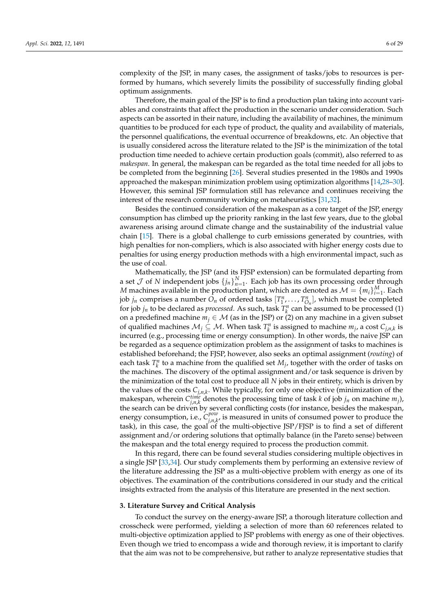complexity of the JSP, in many cases, the assignment of tasks/jobs to resources is performed by humans, which severely limits the possibility of successfully finding global optimum assignments.

Therefore, the main goal of the JSP is to find a production plan taking into account variables and constraints that affect the production in the scenario under consideration. Such aspects can be assorted in their nature, including the availability of machines, the minimum quantities to be produced for each type of product, the quality and availability of materials, the personnel qualifications, the eventual occurrence of breakdowns, etc. An objective that is usually considered across the literature related to the JSP is the minimization of the total production time needed to achieve certain production goals (commit), also referred to as *makespan*. In general, the makespan can be regarded as the total time needed for all jobs to be completed from the beginning [\[26\]](#page-25-25). Several studies presented in the 1980s and 1990s approached the makespan minimization problem using optimization algorithms [\[14,](#page-25-13)[28](#page-26-1)[–30\]](#page-26-2). However, this seminal JSP formulation still has relevance and continues receiving the interest of the research community working on metaheuristics [\[31,](#page-26-3)[32\]](#page-26-4).

Besides the continued consideration of the makespan as a core target of the JSP, energy consumption has climbed up the priority ranking in the last few years, due to the global awareness arising around climate change and the sustainability of the industrial value chain [\[15\]](#page-25-14). There is a global challenge to curb emissions generated by countries, with high penalties for non-compliers, which is also associated with higher energy costs due to penalties for using energy production methods with a high environmental impact, such as the use of coal.

Mathematically, the JSP (and its FJSP extension) can be formulated departing from a set  $\mathcal J$  of  $N$  independent jobs  $\{j_n\}_{n=1}^N$ . Each job has its own processing order through *M* machines available in the production plant, which are denoted as  $\mathcal{M} = \{m_i\}_{i=1}^M$ . Each job *j<sub>n</sub>* comprises a number  $O_n$  of ordered tasks  $[T_1^n, \ldots, T_{O_n}^n]$ , which must be completed for job  $j_n$  to be declared as *processed*. As such, task  $T_k^n$  can be assumed to be processed (1) on a predefined machine  $m_j \in \mathcal{M}$  (as in the JSP) or (2) on any machine in a given subset of qualified machines  $M_j \subseteq M$ . When task  $T_k^n$  is assigned to machine  $m_j$ , a cost  $C_{j,n,k}$  is incurred (e.g., processing time or energy consumption). In other words, the naive JSP can be regarded as a sequence optimization problem as the assignment of tasks to machines is established beforehand; the FJSP, however, also seeks an optimal assignment (*routing*) of each task  $T_k^n$  to a machine from the qualified set  $M_j$ , together with the order of tasks on the machines. The discovery of the optimal assignment and/or task sequence is driven by the minimization of the total cost to produce all *N* jobs in their entirety, which is driven by the values of the costs *Cj*,*n*,*<sup>k</sup>* . While typically, for only one objective (minimization of the makespan, wherein  $C_{j,n,k}^{time}$  denotes the processing time of task *k* of job  $j_n$  on machine  $m_j$ ), the search can be driven by several conflicting costs (for instance, besides the makespan, energy consumption, i.e., *C pow j*,*n*,*k* , is measured in units of consumed power to produce the task), in this case, the goal of the multi-objective JSP/FJSP is to find a set of different assignment and/or ordering solutions that optimally balance (in the Pareto sense) between the makespan and the total energy required to process the production commit.

In this regard, there can be found several studies considering multiple objectives in a single JSP [\[33,](#page-26-5)[34\]](#page-26-6). Our study complements them by performing an extensive review of the literature addressing the JSP as a multi-objective problem with energy as one of its objectives. The examination of the contributions considered in our study and the critical insights extracted from the analysis of this literature are presented in the next section.

#### <span id="page-5-0"></span>**3. Literature Survey and Critical Analysis**

To conduct the survey on the energy-aware JSP, a thorough literature collection and crosscheck were performed, yielding a selection of more than 60 references related to multi-objective optimization applied to JSP problems with energy as one of their objectives. Even though we tried to encompass a wide and thorough review, it is important to clarify that the aim was not to be comprehensive, but rather to analyze representative studies that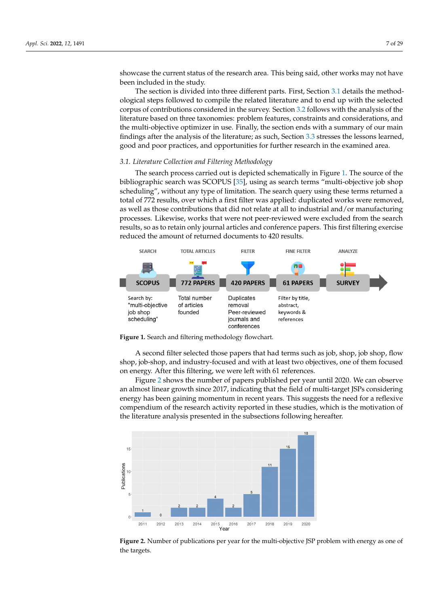showcase the current status of the research area. This being said, other works may not have been included in the study.

The section is divided into three different parts. First, Section [3.1](#page-6-0) details the methodological steps followed to compile the related literature and to end up with the selected corpus of contributions considered in the survey. Section [3.2](#page-7-0) follows with the analysis of the literature based on three taxonomies: problem features, constraints and considerations, and the multi-objective optimizer in use. Finally, the section ends with a summary of our main findings after the analysis of the literature; as such, Section [3.3](#page-15-0) stresses the lessons learned, good and poor practices, and opportunities for further research in the examined area.

# <span id="page-6-0"></span>*3.1. Literature Collection and Filtering Methodology*

The search process carried out is depicted schematically in Figure [1.](#page-6-1) The source of the bibliographic search was SCOPUS [\[35\]](#page-26-7), using as search terms "multi-objective job shop scheduling", without any type of limitation. The search query using these terms returned a total of 772 results, over which a first filter was applied: duplicated works were removed, as well as those contributions that did not relate at all to industrial and/or manufacturing processes. Likewise, works that were not peer-reviewed were excluded from the search results, so as to retain only journal articles and conference papers. This first filtering exercise reduced the amount of returned documents to 420 results.

<span id="page-6-1"></span>



A second filter selected those papers that had terms such as job, shop, job shop, flow shop, job-shop, and industry-focused and with at least two objectives, one of them focused on energy. After this filtering, we were left with 61 references.

Figure [2](#page-6-2) shows the number of papers published per year until 2020. We can observe an almost linear growth since 2017, indicating that the field of multi-target JSPs considering energy has been gaining momentum in recent years. This suggests the need for a reflexive compendium of the research activity reported in these studies, which is the motivation of the literature analysis presented in the subsections following hereafter.

<span id="page-6-2"></span>

**Figure 2.** Number of publications per year for the multi-objective JSP problem with energy as one of the targets.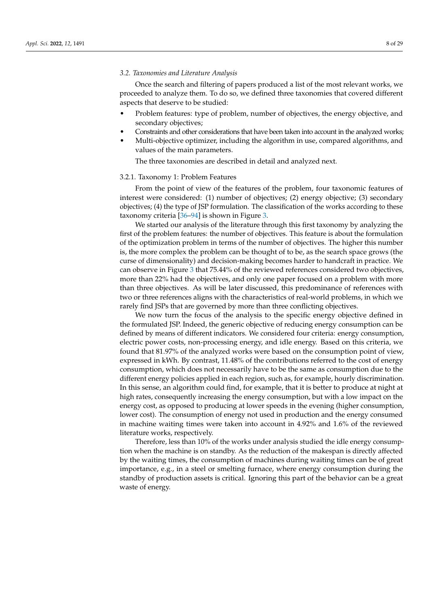#### <span id="page-7-0"></span>*3.2. Taxonomies and Literature Analysis*

Once the search and filtering of papers produced a list of the most relevant works, we proceeded to analyze them. To do so, we defined three taxonomies that covered different aspects that deserve to be studied:

- Problem features: type of problem, number of objectives, the energy objective, and secondary objectives;
- Constraints and other considerations that have been taken into account in the analyzed works;
- Multi-objective optimizer, including the algorithm in use, compared algorithms, and values of the main parameters.

The three taxonomies are described in detail and analyzed next.

#### <span id="page-7-1"></span>3.2.1. Taxonomy 1: Problem Features

From the point of view of the features of the problem, four taxonomic features of interest were considered: (1) number of objectives; (2) energy objective; (3) secondary objectives; (4) the type of JSP formulation. The classification of the works according to these taxonomy criteria [\[36](#page-26-8)[–94\]](#page-28-0) is shown in Figure [3.](#page-8-0)

We started our analysis of the literature through this first taxonomy by analyzing the first of the problem features: the number of objectives. This feature is about the formulation of the optimization problem in terms of the number of objectives. The higher this number is, the more complex the problem can be thought of to be, as the search space grows (the curse of dimensionality) and decision-making becomes harder to handcraft in practice. We can observe in Figure [3](#page-8-0) that 75.44% of the reviewed references considered two objectives, more than 22% had the objectives, and only one paper focused on a problem with more than three objectives. As will be later discussed, this predominance of references with two or three references aligns with the characteristics of real-world problems, in which we rarely find JSPs that are governed by more than three conflicting objectives.

We now turn the focus of the analysis to the specific energy objective defined in the formulated JSP. Indeed, the generic objective of reducing energy consumption can be defined by means of different indicators. We considered four criteria: energy consumption, electric power costs, non-processing energy, and idle energy. Based on this criteria, we found that 81.97% of the analyzed works were based on the consumption point of view, expressed in kWh. By contrast, 11.48% of the contributions referred to the cost of energy consumption, which does not necessarily have to be the same as consumption due to the different energy policies applied in each region, such as, for example, hourly discrimination. In this sense, an algorithm could find, for example, that it is better to produce at night at high rates, consequently increasing the energy consumption, but with a low impact on the energy cost, as opposed to producing at lower speeds in the evening (higher consumption, lower cost). The consumption of energy not used in production and the energy consumed in machine waiting times were taken into account in 4.92% and 1.6% of the reviewed literature works, respectively.

Therefore, less than 10% of the works under analysis studied the idle energy consumption when the machine is on standby. As the reduction of the makespan is directly affected by the waiting times, the consumption of machines during waiting times can be of great importance, e.g., in a steel or smelting furnace, where energy consumption during the standby of production assets is critical. Ignoring this part of the behavior can be a great waste of energy.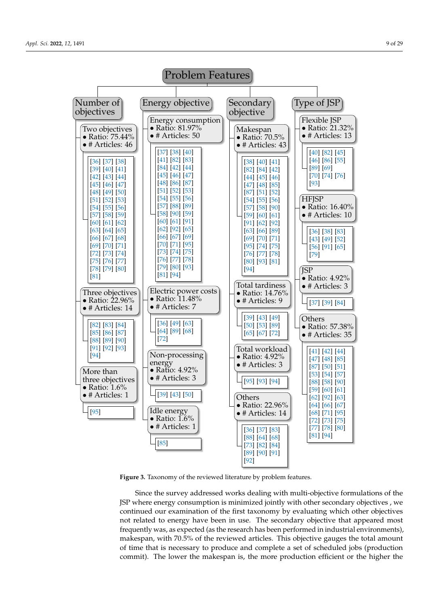<span id="page-8-0"></span>

**Figure 3.** Taxonomy of the reviewed literature by problem features.

Since the survey addressed works dealing with multi-objective formulations of the JSP where energy consumption is minimized jointly with other secondary objectives , we continued our examination of the first taxonomy by evaluating which other objectives not related to energy have been in use. The secondary objective that appeared most frequently was, as expected (as the research has been performed in industrial environments), makespan, with 70.5% of the reviewed articles. This objective gauges the total amount of time that is necessary to produce and complete a set of scheduled jobs (production commit). The lower the makespan is, the more production efficient or the higher the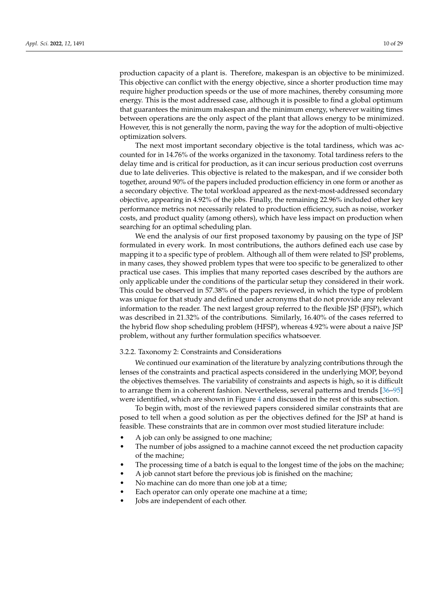production capacity of a plant is. Therefore, makespan is an objective to be minimized. This objective can conflict with the energy objective, since a shorter production time may require higher production speeds or the use of more machines, thereby consuming more energy. This is the most addressed case, although it is possible to find a global optimum that guarantees the minimum makespan and the minimum energy, wherever waiting times between operations are the only aspect of the plant that allows energy to be minimized. However, this is not generally the norm, paving the way for the adoption of multi-objective optimization solvers.

The next most important secondary objective is the total tardiness, which was accounted for in 14.76% of the works organized in the taxonomy. Total tardiness refers to the delay time and is critical for production, as it can incur serious production cost overruns due to late deliveries. This objective is related to the makespan, and if we consider both together, around 90% of the papers included production efficiency in one form or another as a secondary objective. The total workload appeared as the next-most-addressed secondary objective, appearing in 4.92% of the jobs. Finally, the remaining 22.96% included other key performance metrics not necessarily related to production efficiency, such as noise, worker costs, and product quality (among others), which have less impact on production when searching for an optimal scheduling plan.

We end the analysis of our first proposed taxonomy by pausing on the type of JSP formulated in every work. In most contributions, the authors defined each use case by mapping it to a specific type of problem. Although all of them were related to JSP problems, in many cases, they showed problem types that were too specific to be generalized to other practical use cases. This implies that many reported cases described by the authors are only applicable under the conditions of the particular setup they considered in their work. This could be observed in 57.38% of the papers reviewed, in which the type of problem was unique for that study and defined under acronyms that do not provide any relevant information to the reader. The next largest group referred to the flexible JSP (FJSP), which was described in 21.32% of the contributions. Similarly, 16.40% of the cases referred to the hybrid flow shop scheduling problem (HFSP), whereas 4.92% were about a naive JSP problem, without any further formulation specifics whatsoever.

#### 3.2.2. Taxonomy 2: Constraints and Considerations

We continued our examination of the literature by analyzing contributions through the lenses of the constraints and practical aspects considered in the underlying MOP, beyond the objectives themselves. The variability of constraints and aspects is high, so it is difficult to arrange them in a coherent fashion. Nevertheless, several patterns and trends [\[36–](#page-26-8)[95\]](#page-28-12) were identified, which are shown in Figure [4](#page-10-0) and discussed in the rest of this subsection.

To begin with, most of the reviewed papers considered similar constraints that are posed to tell when a good solution as per the objectives defined for the JSP at hand is feasible. These constraints that are in common over most studied literature include:

- A job can only be assigned to one machine;
- The number of jobs assigned to a machine cannot exceed the net production capacity of the machine;
- The processing time of a batch is equal to the longest time of the jobs on the machine;
- A job cannot start before the previous job is finished on the machine;
- No machine can do more than one job at a time;
- Each operator can only operate one machine at a time;
- Jobs are independent of each other.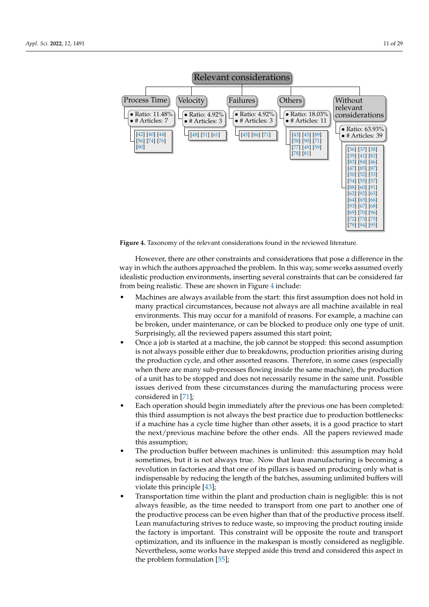<span id="page-10-0"></span>

Version January 21, 2022 submitted to *Appl. Sci.* 11 of 30

**Figure 4.** Taxonomy of the relevant considerations found in the reviewed literature. **Figure 4.** Taxonomy of the relevant considerations found in the reviewed literature.

However, there are other constraints and considerations that pose a difference in the way in which the authors approached the problem. In this way, some works assumed overly idealistic production environments, inserting several constraints that can be considered far from being realistic. These are shown in Figure 4 include:

- Machines are always available from the start: this first assumption does not hold in  $\frac{1}{2}$  during the production cycle, and other associates reasons. The production considered reasons. The case  $\frac{1}{2}$ many practical circumstances, because not always are all machine available in real environments. This may occur for a manifold of reasons. For example, a machine can be broken, under maintenance, or can be blocked to produce only one type of unit. Surprisingly, all the reviewed papers assumed this start point;
- Once a job is started at a machine, the job cannot be stopped: this second assumption is not always possible either due to breakdowns, production priorities arising during the production cycle, and other assorted reasons. Therefore, in some cases (especially when there are many sub-processes flowing inside the same machine), the production of a unit has to be stopped and does not necessarily resume in the same unit. Possible issues derived from these circumstances during the manufacturing process were  $126$  sometimes true. Now that it is not always that leads are not always to be in  $[71]$ ;
- Each operation should begin immediately after the previous one has been completed: this third assumption is not always the best practice due to production bottlenecks: if a machine has a cycle time higher than other assets, it is a good practice to start the next/previous machine before the other ends. All the papers reviewed made this assumption; the time needed to transport from one part to transport from one part to another one part to another one part to another one part to another one part to another one part to another one part of the state of
- The production buffer between machines is unlimited: this assumption may hold sometimes, but it is not always true. Now that lean manufacturing is becoming a revolution in factories and that one of its pillars is based on producing only what is indispensable by reducing the length of the batches, assuming unlimited buffers will violate this principle  $[43]$ ;
- Transportation time within the plant and production chain is negligible: this is not always feasible, as the time needed to transport from one part to another one of the productive process can be even higher than that of the productive process itself.  $\frac{4}{100}$  for products  $\frac{4}{1000}$  facture small batches of products. The products that that that the side of products. The products of products of  $\frac{1}{1000}$  and  $\frac{1}{1000}$  for  $\frac{1}{1000}$  for  $\frac{1}{1000}$  for  $\$ Lean manufacturing strives to reduce waste, so improving the product routing inside<br>the factories in increased at This constraint will be a massific the product and the proceed the factory is important. This constraint will be opposite the route and transport optimization, and its influence in the makespan is mostly considered as negligible. Nevertheless, some works have stepped aside this trend and considered this aspect in the problem formulation [\[55\]](#page-26-27);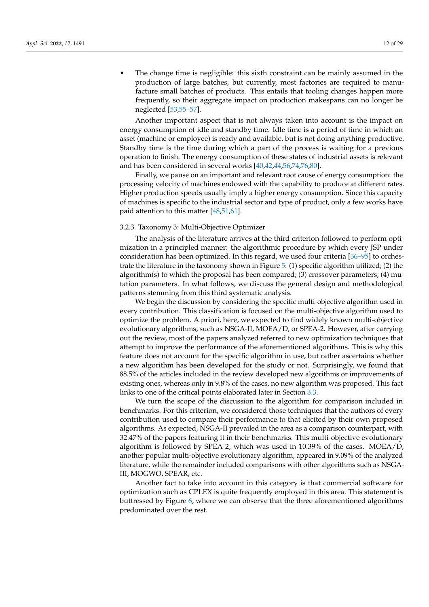The change time is negligible: this sixth constraint can be mainly assumed in the production of large batches, but currently, most factories are required to manufacture small batches of products. This entails that tooling changes happen more frequently, so their aggregate impact on production makespans can no longer be neglected [\[53,](#page-26-25)[55–](#page-26-27)[57\]](#page-27-1).

Another important aspect that is not always taken into account is the impact on energy consumption of idle and standby time. Idle time is a period of time in which an asset (machine or employee) is ready and available, but is not doing anything productive. Standby time is the time during which a part of the process is waiting for a previous operation to finish. The energy consumption of these states of industrial assets is relevant and has been considered in several works [\[40](#page-26-12)[,42](#page-26-14)[,44](#page-26-16)[,56,](#page-27-0)[74](#page-27-18)[,76,](#page-27-20)[80\]](#page-27-24).

Finally, we pause on an important and relevant root cause of energy consumption: the processing velocity of machines endowed with the capability to produce at different rates. Higher production speeds usually imply a higher energy consumption. Since this capacity of machines is specific to the industrial sector and type of product, only a few works have paid attention to this matter [\[48,](#page-26-20)[51,](#page-26-23)[61\]](#page-27-5).

#### 3.2.3. Taxonomy 3: Multi-Objective Optimizer

The analysis of the literature arrives at the third criterion followed to perform optimization in a principled manner: the algorithmic procedure by which every JSP under consideration has been optimized. In this regard, we used four criteria [\[36–](#page-26-8)[95\]](#page-28-12) to orchestrate the literature in the taxonomy shown in Figure [5:](#page-12-0) (1) specific algorithm utilized; (2) the algorithm(s) to which the proposal has been compared; (3) crossover parameters; (4) mutation parameters. In what follows, we discuss the general design and methodological patterns stemming from this third systematic analysis.

We begin the discussion by considering the specific multi-objective algorithm used in every contribution. This classification is focused on the multi-objective algorithm used to optimize the problem. A priori, here, we expected to find widely known multi-objective evolutionary algorithms, such as NSGA-II, MOEA/D, or SPEA-2. However, after carrying out the review, most of the papers analyzed referred to new optimization techniques that attempt to improve the performance of the aforementioned algorithms. This is why this feature does not account for the specific algorithm in use, but rather ascertains whether a new algorithm has been developed for the study or not. Surprisingly, we found that 88.5% of the articles included in the review developed new algorithms or improvements of existing ones, whereas only in 9.8% of the cases, no new algorithm was proposed. This fact links to one of the critical points elaborated later in Section [3.3.](#page-15-0)

We turn the scope of the discussion to the algorithm for comparison included in benchmarks. For this criterion, we considered those techniques that the authors of every contribution used to compare their performance to that elicited by their own proposed algorithms. As expected, NSGA-II prevailed in the area as a comparison counterpart, with 32.47% of the papers featuring it in their benchmarks. This multi-objective evolutionary algorithm is followed by SPEA-2, which was used in 10.39% of the cases. MOEA/D, another popular multi-objective evolutionary algorithm, appeared in 9.09% of the analyzed literature, while the remainder included comparisons with other algorithms such as NSGA-III, MOGWO, SPEAR, etc.

Another fact to take into account in this category is that commercial software for optimization such as CPLEX is quite frequently employed in this area. This statement is buttressed by Figure [6,](#page-13-0) where we can observe that the three aforementioned algorithms predominated over the rest.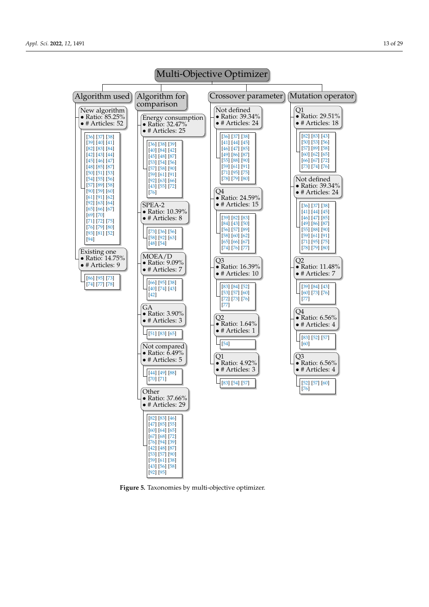<span id="page-12-0"></span>

**Figure 5.** Taxonomies by multi-objective optimizer.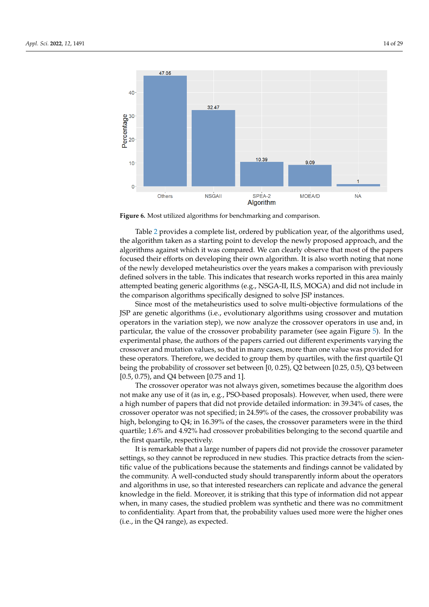<span id="page-13-0"></span>

**Figure 6.** Most utilized algorithms for benchmarking and comparison.

Table [2](#page-14-0) provides a complete list, ordered by publication year, of the algorithms used, the algorithm taken as a starting point to develop the newly proposed approach, and the algorithms against which it was compared. We can clearly observe that most of the papers focused their efforts on developing their own algorithm. It is also worth noting that none of the newly developed metaheuristics over the years makes a comparison with previously defined solvers in the table. This indicates that research works reported in this area mainly attempted beating generic algorithms (e.g., NSGA-II, ILS, MOGA) and did not include in the comparison algorithms specifically designed to solve JSP instances.

Since most of the metaheuristics used to solve multi-objective formulations of the JSP are genetic algorithms (i.e., evolutionary algorithms using crossover and mutation operators in the variation step), we now analyze the crossover operators in use and, in particular, the value of the crossover probability parameter (see again Figure [5\)](#page-12-0). In the experimental phase, the authors of the papers carried out different experiments varying the crossover and mutation values, so that in many cases, more than one value was provided for these operators. Therefore, we decided to group them by quartiles, with the first quartile Q1 being the probability of crossover set between [0, 0.25), Q2 between [0.25, 0.5), Q3 between [0.5, 0.75), and Q4 between [0.75 and 1].

The crossover operator was not always given, sometimes because the algorithm does not make any use of it (as in, e.g., PSO-based proposals). However, when used, there were a high number of papers that did not provide detailed information: in 39.34% of cases, the crossover operator was not specified; in 24.59% of the cases, the crossover probability was high, belonging to Q4; in 16.39% of the cases, the crossover parameters were in the third quartile; 1.6% and 4.92% had crossover probabilities belonging to the second quartile and the first quartile, respectively.

It is remarkable that a large number of papers did not provide the crossover parameter settings, so they cannot be reproduced in new studies. This practice detracts from the scientific value of the publications because the statements and findings cannot be validated by the community. A well-conducted study should transparently inform about the operators and algorithms in use, so that interested researchers can replicate and advance the general knowledge in the field. Moreover, it is striking that this type of information did not appear when, in many cases, the studied problem was synthetic and there was no commitment to confidentiality. Apart from that, the probability values used more were the higher ones (i.e., in the Q4 range), as expected.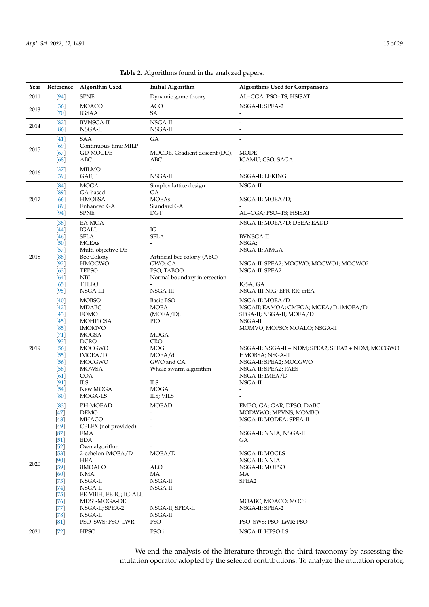| Year | Reference        | Algorithm Used                       | <b>Initial Algorithm</b>               | <b>Algorithms Used for Comparisons</b>                   |
|------|------------------|--------------------------------------|----------------------------------------|----------------------------------------------------------|
| 2011 | $[94]$           | <b>SPNE</b>                          | Dynamic game theory                    | AL+CGA; PSO+TS; HSISAT                                   |
| 2013 | $[36]$<br>$[70]$ | <b>MOACO</b><br><b>IGSAA</b>         | <b>ACO</b><br>SA                       | NSGA-II; SPEA-2                                          |
| 2014 | [82]<br>[86]     | <b>BVNSGA-II</b><br>NSGA-II          | NSGA-II<br>NSGA-II                     | $\overline{\phantom{a}}$                                 |
|      | $[41]$           | <b>SAA</b>                           | GA                                     | $\overline{\phantom{a}}$                                 |
| 2015 | [69]             | Continuous-time MILP                 |                                        |                                                          |
|      | [67]<br>[68]     | GD-MOCDE<br>ABC                      | MOCDE, Gradient descent (DC),<br>ABC   | MODE;<br>IGAMU; CSO; SAGA                                |
|      | $[37]$           | <b>MILMO</b>                         |                                        |                                                          |
| 2016 | $[39]$           | <b>GAEJP</b>                         | NSGA-II                                | NSGA-II; LEKING                                          |
|      | $[84]$           | <b>MOGA</b>                          | Simplex lattice design                 | NSGA-II;                                                 |
| 2017 | [89]<br>[66]     | GA-based<br><b>HMOBSA</b>            | GA<br><b>MOEAs</b>                     | NSGA-II; MOEA/D;                                         |
|      | [89]             | Enhanced GA                          | Standard GA                            |                                                          |
|      | [94]             | <b>SPNE</b>                          | <b>DGT</b>                             | AL+CGA; PSO+TS; HSISAT                                   |
|      | $[38]$           | EA-MOA                               | $\overline{\phantom{0}}$               | NSGA-II; MOEA/D; DBEA; EADD                              |
|      | $[44]$<br>$[46]$ | <b>IGALL</b><br><b>SFLA</b>          | IG<br><b>SFLA</b>                      | <b>BVNSGA-II</b>                                         |
|      | [50]             | <b>MCEAs</b>                         |                                        | NSGA:                                                    |
|      | $[57]$           | Multi-objective DE                   |                                        | NSGA-II; AMGA                                            |
| 2018 | [88]<br>$[92]$   | Bee Colony<br><b>HMOGWO</b>          | Artificial bee colony (ABC)<br>GWO; GA | NSGA-II; SPEA2; MOGWO; MOGWO1; MOGWO2                    |
|      | [63]             | <b>TEPSO</b>                         | PSO; TABOO                             | NSGA-II; SPEA2                                           |
|      | [64]             | <b>NBI</b>                           | Normal boundary intersection           |                                                          |
|      | [65]             | <b>TTLBO</b><br>NSGA-III             | NSGA-III                               | IGSA; GA                                                 |
|      | $[95]$           |                                      |                                        | NSGA-III-NIG; EFR-RR; crEA                               |
|      | [40]<br>$[42]$   | <b>MOBSO</b><br><b>MDABC</b>         | Basic BSO<br><b>MOEA</b>               | NSGA-II; MOEA/D<br>NSGAII; EAMOA; CMFOA; MOEA/D; iMOEA/D |
|      | $[43]$           | <b>EOMO</b>                          | $(MOEA/D)$ .                           | SPGA-II; NSGA-II; MOEA/D                                 |
|      | [45]             | <b>MOHPIOSA</b>                      | <b>PIO</b>                             | NSGA-II                                                  |
|      | [85]<br>$[71]$   | <b>IMOMVO</b><br><b>MOGSA</b>        | <b>MOGA</b>                            | MOMVO; MOPSO; MOALO; NSGA-II                             |
|      | $[93]$           | <b>DCRO</b>                          | <b>CRO</b>                             |                                                          |
| 2019 | $[56]$           | <b>MOCGWO</b>                        | <b>MOG</b>                             | NSGA-II; NSGA-II + NDM; SPEA2; SPEA2 + NDM; MOCGWO       |
|      | $[55]$<br>[56]   | iMOEA/D<br><b>MOCGWO</b>             | MOEA/d<br>GWO and CA                   | HMOBSA; NSGA-II<br>NSGA-II; SPEA2; MOCGWO                |
|      | [58]             | <b>MOWSA</b>                         | Whale swarm algorithm                  | NSGA-II; SPEA2; PAES                                     |
|      | [61]             | <b>COA</b>                           |                                        | NSGA-II; IMEA/D                                          |
|      | [91]<br>$[54]$   | <b>ILS</b><br>New MOGA               | <b>ILS</b><br><b>MOGA</b>              | NSGA-II                                                  |
|      | [80]             | MOGA-LS                              | ILS; VILS                              |                                                          |
|      | [83]             | PH-MOEAD                             | <b>MOEAD</b>                           | EMBO; GA; GAR; DPSO; DABC                                |
|      | $[47]$           | DEMO                                 |                                        | MODWWO; MPVNS; MOMBO                                     |
|      | [48]<br>$[49]$   | <b>MHACO</b><br>CPLEX (not provided) |                                        | NSGA-II; MODEA; SPEA-II                                  |
|      | $[87]$           | EMA                                  |                                        | NSGA-II; NNIA; NSGA-III                                  |
|      | $[51]$           | <b>EDA</b>                           |                                        | GА                                                       |
|      | $[52]$<br>$[53]$ | Own algorithm<br>2-echelon iMOEA/D   | MOEA/D                                 | NSGA-II; MOGLS                                           |
|      | [90]             | <b>HEA</b>                           |                                        | NSGA-II; NNIA                                            |
| 2020 | $[59]$           | iIMOALO                              | <b>ALO</b>                             | NSGA-II; MOPSO                                           |
|      | [60]<br>$[73]$   | NMA<br>$NSGA-II$                     | MA<br>NSGA-II                          | МA<br>SPEA2                                              |
|      | [74]             | NSGA-II                              | NSGA-II                                |                                                          |
|      | $[75]$           | EE-VBIH; EE-IG; IG-ALL               |                                        |                                                          |
|      | $[76]$           | MDSS-MOGA-DE                         |                                        | MOABC; MOACO; MOCS                                       |
|      | $[77]$<br>$[78]$ | NSGA-II; SPEA-2<br>NSGA-II           | NSGA-II; SPEA-II<br>NSGA-II            | NSGA-II; SPEA-2                                          |
|      | [81]             | PSO_SWS; PSO_LWR                     | <b>PSO</b>                             | PSO_SWS; PSO_LWR; PSO                                    |
| 2021 | $[72]$           | <b>HPSO</b>                          | PSO <sub>i</sub>                       | NSGA-II; HPSO-LS                                         |

<span id="page-14-0"></span>**Table 2.** Algorithms found in the analyzed papers.

We end the analysis of the literature through the third taxonomy by assessing the mutation operator adopted by the selected contributions. To analyze the mutation operator,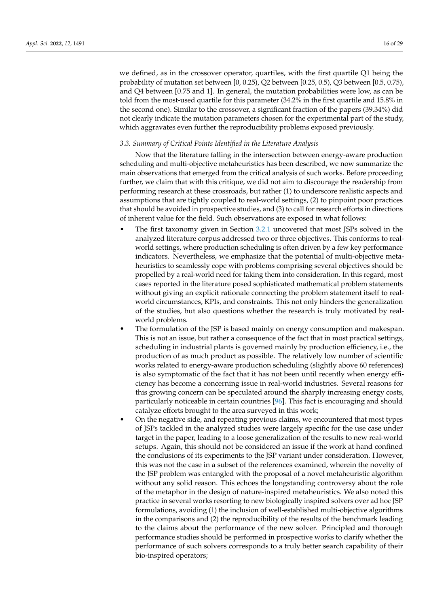we defined, as in the crossover operator, quartiles, with the first quartile Q1 being the probability of mutation set between [0, 0.25), Q2 between [0.25, 0.5), Q3 between [0.5, 0.75), and Q4 between [0.75 and 1]. In general, the mutation probabilities were low, as can be told from the most-used quartile for this parameter (34.2% in the first quartile and 15.8% in the second one). Similar to the crossover, a significant fraction of the papers (39.34%) did not clearly indicate the mutation parameters chosen for the experimental part of the study, which aggravates even further the reproducibility problems exposed previously.

#### <span id="page-15-0"></span>*3.3. Summary of Critical Points Identified in the Literature Analysis*

Now that the literature falling in the intersection between energy-aware production scheduling and multi-objective metaheuristics has been described, we now summarize the main observations that emerged from the critical analysis of such works. Before proceeding further, we claim that with this critique, we did not aim to discourage the readership from performing research at these crossroads, but rather (1) to underscore realistic aspects and assumptions that are tightly coupled to real-world settings, (2) to pinpoint poor practices that should be avoided in prospective studies, and (3) to call for research efforts in directions of inherent value for the field. Such observations are exposed in what follows:

- The first taxonomy given in Section [3.2.1](#page-7-1) uncovered that most JSPs solved in the analyzed literature corpus addressed two or three objectives. This conforms to realworld settings, where production scheduling is often driven by a few key performance indicators. Nevertheless, we emphasize that the potential of multi-objective metaheuristics to seamlessly cope with problems comprising several objectives should be propelled by a real-world need for taking them into consideration. In this regard, most cases reported in the literature posed sophisticated mathematical problem statements without giving an explicit rationale connecting the problem statement itself to realworld circumstances, KPIs, and constraints. This not only hinders the generalization of the studies, but also questions whether the research is truly motivated by realworld problems.
- The formulation of the JSP is based mainly on energy consumption and makespan. This is not an issue, but rather a consequence of the fact that in most practical settings, scheduling in industrial plants is governed mainly by production efficiency, i.e., the production of as much product as possible. The relatively low number of scientific works related to energy-aware production scheduling (slightly above 60 references) is also symptomatic of the fact that it has not been until recently when energy efficiency has become a concerning issue in real-world industries. Several reasons for this growing concern can be speculated around the sharply increasing energy costs, particularly noticeable in certain countries [\[96\]](#page-28-13). This fact is encouraging and should catalyze efforts brought to the area surveyed in this work;
- On the negative side, and repeating previous claims, we encountered that most types of JSPs tackled in the analyzed studies were largely specific for the use case under target in the paper, leading to a loose generalization of the results to new real-world setups. Again, this should not be considered an issue if the work at hand confined the conclusions of its experiments to the JSP variant under consideration. However, this was not the case in a subset of the references examined, wherein the novelty of the JSP problem was entangled with the proposal of a novel metaheuristic algorithm without any solid reason. This echoes the longstanding controversy about the role of the metaphor in the design of nature-inspired metaheuristics. We also noted this practice in several works resorting to new biologically inspired solvers over ad hoc JSP formulations, avoiding (1) the inclusion of well-established multi-objective algorithms in the comparisons and (2) the reproducibility of the results of the benchmark leading to the claims about the performance of the new solver. Principled and thorough performance studies should be performed in prospective works to clarify whether the performance of such solvers corresponds to a truly better search capability of their bio-inspired operators;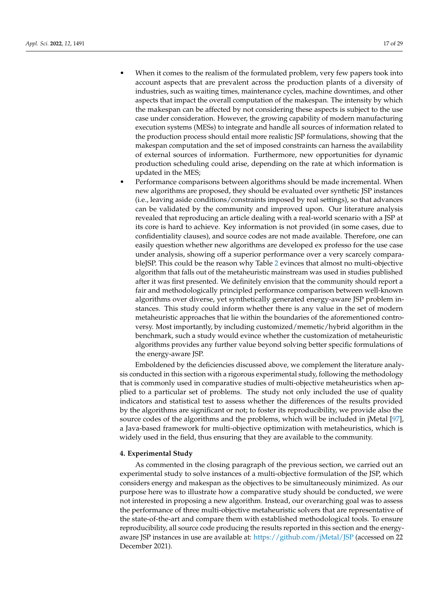- When it comes to the realism of the formulated problem, very few papers took into account aspects that are prevalent across the production plants of a diversity of industries, such as waiting times, maintenance cycles, machine downtimes, and other aspects that impact the overall computation of the makespan. The intensity by which the makespan can be affected by not considering these aspects is subject to the use case under consideration. However, the growing capability of modern manufacturing execution systems (MESs) to integrate and handle all sources of information related to the production process should entail more realistic JSP formulations, showing that the makespan computation and the set of imposed constraints can harness the availability of external sources of information. Furthermore, new opportunities for dynamic production scheduling could arise, depending on the rate at which information is
- updated in the MES; • Performance comparisons between algorithms should be made incremental. When new algorithms are proposed, they should be evaluated over synthetic JSP instances (i.e., leaving aside conditions/constraints imposed by real settings), so that advances can be validated by the community and improved upon. Our literature analysis revealed that reproducing an article dealing with a real-world scenario with a JSP at its core is hard to achieve. Key information is not provided (in some cases, due to confidentiality clauses), and source codes are not made available. Therefore, one can easily question whether new algorithms are developed ex professo for the use case under analysis, showing off a superior performance over a very scarcely comparableJSP. This could be the reason why Table [2](#page-14-0) evinces that almost no multi-objective algorithm that falls out of the metaheuristic mainstream was used in studies published after it was first presented. We definitely envision that the community should report a fair and methodologically principled performance comparison between well-known algorithms over diverse, yet synthetically generated energy-aware JSP problem instances. This study could inform whether there is any value in the set of modern metaheuristic approaches that lie within the boundaries of the aforementioned controversy. Most importantly, by including customized/memetic/hybrid algorithm in the benchmark, such a study would evince whether the customization of metaheuristic algorithms provides any further value beyond solving better specific formulations of the energy-aware JSP.

Emboldened by the deficiencies discussed above, we complement the literature analysis conducted in this section with a rigorous experimental study, following the methodology that is commonly used in comparative studies of multi-objective metaheuristics when applied to a particular set of problems. The study not only included the use of quality indicators and statistical test to assess whether the differences of the results provided by the algorithms are significant or not; to foster its reproducibility, we provide also the source codes of the algorithms and the problems, which will be included in jMetal [\[97\]](#page-28-14), a Java-based framework for multi-objective optimization with metaheuristics, which is widely used in the field, thus ensuring that they are available to the community.

#### <span id="page-16-0"></span>**4. Experimental Study**

As commented in the closing paragraph of the previous section, we carried out an experimental study to solve instances of a multi-objective formulation of the JSP, which considers energy and makespan as the objectives to be simultaneously minimized. As our purpose here was to illustrate how a comparative study should be conducted, we were not interested in proposing a new algorithm. Instead, our overarching goal was to assess the performance of three multi-objective metaheuristic solvers that are representative of the state-of-the-art and compare them with established methodological tools. To ensure reproducibility, all source code producing the results reported in this section and the energyaware JSP instances in use are available at: <https://github.com/jMetal/JSP> (accessed on 22 December 2021).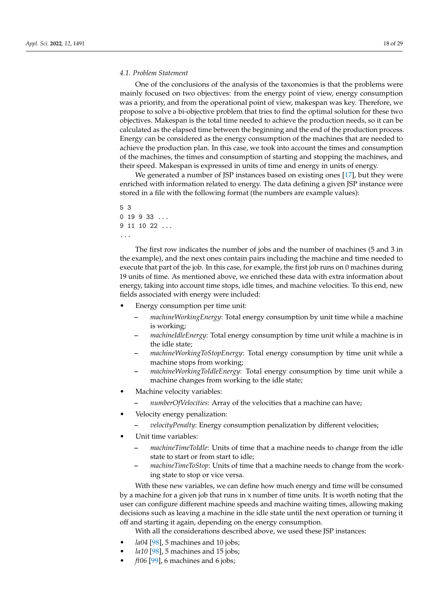#### *4.1. Problem Statement*

One of the conclusions of the analysis of the taxonomies is that the problems were mainly focused on two objectives: from the energy point of view, energy consumption was a priority, and from the operational point of view, makespan was key. Therefore, we propose to solve a bi-objective problem that tries to find the optimal solution for these two objectives. Makespan is the total time needed to achieve the production needs, so it can be calculated as the elapsed time between the beginning and the end of the production process. Energy can be considered as the energy consumption of the machines that are needed to achieve the production plan. In this case, we took into account the times and consumption of the machines, the times and consumption of starting and stopping the machines, and their speed. Makespan is expressed in units of time and energy in units of energy.

We generated a number of JSP instances based on existing ones [\[17\]](#page-25-16), but they were enriched with information related to energy. The data defining a given JSP instance were stored in a file with the following format (the numbers are example values):

```
5 3
0 19 9 33 ...
9 11 10 22 ...
...
```
The first row indicates the number of jobs and the number of machines (5 and 3 in the example), and the next ones contain pairs including the machine and time needed to execute that part of the job. In this case, for example, the first job runs on 0 machines during 19 units of time. As mentioned above, we enriched these data with extra information about energy, taking into account time stops, idle times, and machine velocities. To this end, new fields associated with energy were included:

- Energy consumption per time unit:
	- **–** *machineWorkingEnergy*: Total energy consumption by unit time while a machine is working;
	- **–** *machineIdleEnergy*: Total energy consumption by time unit while a machine is in the idle state;
	- **–** *machineWorkingToStopEnergy*: Total energy consumption by time unit while a machine stops from working;
	- **–** *machineWorkingToIdleEnergy*: Total energy consumption by time unit while a machine changes from working to the idle state;
- Machine velocity variables:
	- **–** *numberOfVelocities*: Array of the velocities that a machine can have;
- Velocity energy penalization:
	- **–** *velocityPenalty*: Energy consumption penalization by different velocities;
- Unit time variables:
	- **–** *machineTimeToIdle*: Units of time that a machine needs to change from the idle state to start or from start to idle;
	- **–** *machineTimeToStop*: Units of time that a machine needs to change from the working state to stop or vice versa.

With these new variables, we can define how much energy and time will be consumed by a machine for a given job that runs in x number of time units. It is worth noting that the user can configure different machine speeds and machine waiting times, allowing making decisions such as leaving a machine in the idle state until the next operation or turning it off and starting it again, depending on the energy consumption.

With all the considerations described above, we used these JSP instances:

- *la04* [\[98\]](#page-28-15), 5 machines and 10 jobs;
- *la10* [\[98\]](#page-28-15), 5 machines and 15 jobs;
- *ft06* [\[99\]](#page-28-16), 6 machines and 6 jobs;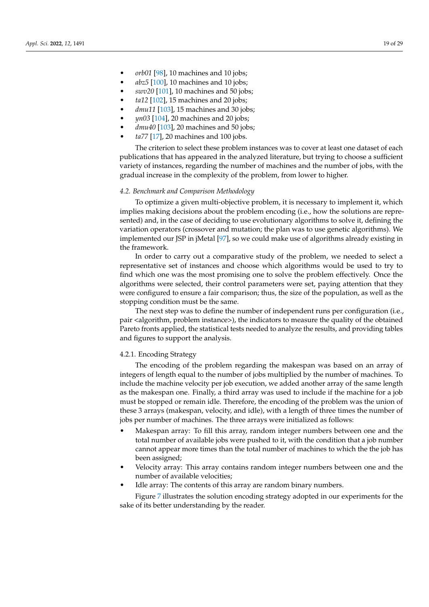- *orb01* [\[98\]](#page-28-15), 10 machines and 10 jobs;
- *abz5* [\[100\]](#page-28-17), 10 machines and 10 jobs;
- *swv20* [\[101\]](#page-28-18), 10 machines and 50 jobs;
- *ta12* [\[102\]](#page-28-19), 15 machines and 20 jobs;
- *dmu11* [\[103\]](#page-28-20), 15 machines and 30 jobs;
- *yn03* [\[104\]](#page-28-21), 20 machines and 20 jobs;
- *dmu40* [\[103\]](#page-28-20), 20 machines and 50 jobs;
- *ta77* [\[17\]](#page-25-16), 20 machines and 100 jobs.

The criterion to select these problem instances was to cover at least one dataset of each publications that has appeared in the analyzed literature, but trying to choose a sufficient variety of instances, regarding the number of machines and the number of jobs, with the gradual increase in the complexity of the problem, from lower to higher.

#### *4.2. Benchmark and Comparison Methodology*

To optimize a given multi-objective problem, it is necessary to implement it, which implies making decisions about the problem encoding (i.e., how the solutions are represented) and, in the case of deciding to use evolutionary algorithms to solve it, defining the variation operators (crossover and mutation; the plan was to use genetic algorithms). We implemented our JSP in jMetal [\[97\]](#page-28-14), so we could make use of algorithms already existing in the framework.

In order to carry out a comparative study of the problem, we needed to select a representative set of instances and choose which algorithms would be used to try to find which one was the most promising one to solve the problem effectively. Once the algorithms were selected, their control parameters were set, paying attention that they were configured to ensure a fair comparison; thus, the size of the population, as well as the stopping condition must be the same.

The next step was to define the number of independent runs per configuration (i.e., pair <algorithm, problem instance>), the indicators to measure the quality of the obtained Pareto fronts applied, the statistical tests needed to analyze the results, and providing tables and figures to support the analysis.

#### 4.2.1. Encoding Strategy

The encoding of the problem regarding the makespan was based on an array of integers of length equal to the number of jobs multiplied by the number of machines. To include the machine velocity per job execution, we added another array of the same length as the makespan one. Finally, a third array was used to include if the machine for a job must be stopped or remain idle. Therefore, the encoding of the problem was the union of these 3 arrays (makespan, velocity, and idle), with a length of three times the number of jobs per number of machines. The three arrays were initialized as follows:

- Makespan array: To fill this array, random integer numbers between one and the total number of available jobs were pushed to it, with the condition that a job number cannot appear more times than the total number of machines to which the the job has been assigned;
- Velocity array: This array contains random integer numbers between one and the number of available velocities;
- Idle array: The contents of this array are random binary numbers.

Figure [7](#page-19-0) illustrates the solution encoding strategy adopted in our experiments for the sake of its better understanding by the reader.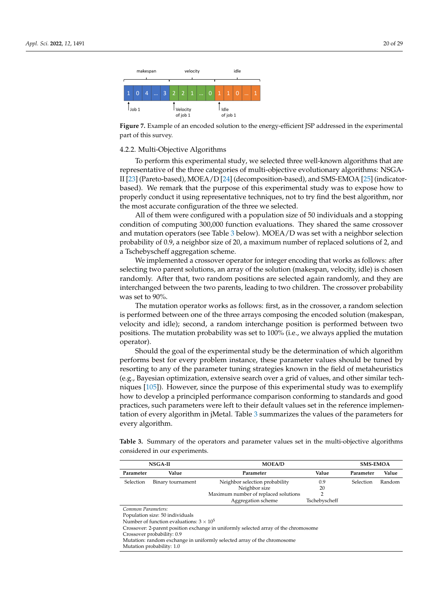<span id="page-19-0"></span>

**Figure 7.** Example of an encoded solution to the energy-efficient JSP addressed in the experimental part of this survey.

#### 4.2.2. Multi-Objective Algorithms

To perform this experimental study, we selected three well-known algorithms that are representative of the three categories of multi-objective evolutionary algorithms: NSGA-II [\[23\]](#page-25-22) (Pareto-based), MOEA/D [\[24\]](#page-25-23) (decomposition-based), and SMS-EMOA [\[25\]](#page-25-24) (indicatorbased). We remark that the purpose of this experimental study was to expose how to properly conduct it using representative techniques, not to try find the best algorithm, nor the most accurate configuration of the three we selected.

All of them were configured with a population size of 50 individuals and a stopping condition of computing 300,000 function evaluations. They shared the same crossover and mutation operators (see Table [3](#page-19-1) below). MOEA/D was set with a neighbor selection probability of 0.9, a neighbor size of 20, a maximum number of replaced solutions of 2, and a Tschebyscheff aggregation scheme.

We implemented a crossover operator for integer encoding that works as follows: after selecting two parent solutions, an array of the solution (makespan, velocity, idle) is chosen randomly. After that, two random positions are selected again randomly, and they are interchanged between the two parents, leading to two children. The crossover probability was set to 90%.

The mutation operator works as follows: first, as in the crossover, a random selection is performed between one of the three arrays composing the encoded solution (makespan, velocity and idle); second, a random interchange position is performed between two positions. The mutation probability was set to 100% (i.e., we always applied the mutation operator).

Should the goal of the experimental study be the determination of which algorithm performs best for every problem instance, these parameter values should be tuned by resorting to any of the parameter tuning strategies known in the field of metaheuristics (e.g., Bayesian optimization, extensive search over a grid of values, and other similar techniques [\[105\]](#page-28-22)). However, since the purpose of this experimental study was to exemplify how to develop a principled performance comparison conforming to standards and good practices, such parameters were left to their default values set in the reference implementation of every algorithm in jMetal. Table [3](#page-19-1) summarizes the values of the parameters for every algorithm.

<span id="page-19-1"></span>**Table 3.** Summary of the operators and parameter values set in the multi-objective algorithms considered in our experiments.

|                    | <b>NSGA-II</b>                                  | <b>MOEA/D</b>                                                                       |               | <b>SMS-EMOA</b> |        |  |  |  |
|--------------------|-------------------------------------------------|-------------------------------------------------------------------------------------|---------------|-----------------|--------|--|--|--|
| Parameter          | Value                                           | Parameter                                                                           | Value         | Parameter       | Value  |  |  |  |
| Selection          | Binary tournament                               | Neighbor selection probability                                                      | 0.9           | Selection       | Random |  |  |  |
|                    |                                                 | Neighbor size                                                                       | 20            |                 |        |  |  |  |
|                    |                                                 | Maximum number of replaced solutions                                                |               |                 |        |  |  |  |
|                    |                                                 | Aggregation scheme                                                                  | Tschebyscheff |                 |        |  |  |  |
| Common Parameters: |                                                 |                                                                                     |               |                 |        |  |  |  |
|                    | Population size: 50 individuals                 |                                                                                     |               |                 |        |  |  |  |
|                    | Number of function evaluations: $3 \times 10^5$ |                                                                                     |               |                 |        |  |  |  |
|                    |                                                 | Crossover: 2-parent position exchange in uniformly selected array of the chromosome |               |                 |        |  |  |  |

Crossover probability: 0.9

Mutation: random exchange in uniformly selected array of the chromosome

Mutation probability: 1.0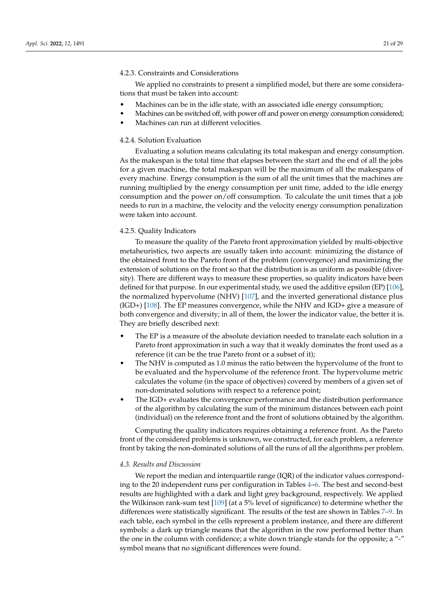## 4.2.3. Constraints and Considerations

We applied no constraints to present a simplified model, but there are some considerations that must be taken into account:

- Machines can be in the idle state, with an associated idle energy consumption;
- Machines can be switched off, with power off and power on energy consumption considered;
- Machines can run at different velocities.

# 4.2.4. Solution Evaluation

Evaluating a solution means calculating its total makespan and energy consumption. As the makespan is the total time that elapses between the start and the end of all the jobs for a given machine, the total makespan will be the maximum of all the makespans of every machine. Energy consumption is the sum of all the unit times that the machines are running multiplied by the energy consumption per unit time, added to the idle energy consumption and the power on/off consumption. To calculate the unit times that a job needs to run in a machine, the velocity and the velocity energy consumption penalization were taken into account.

#### 4.2.5. Quality Indicators

To measure the quality of the Pareto front approximation yielded by multi-objective metaheuristics, two aspects are usually taken into account: minimizing the distance of the obtained front to the Pareto front of the problem (convergence) and maximizing the extension of solutions on the front so that the distribution is as uniform as possible (diversity). There are different ways to measure these properties, so quality indicators have been defined for that purpose. In our experimental study, we used the additive epsilon (EP) [\[106\]](#page-28-23), the normalized hypervolume (NHV) [\[107\]](#page-28-24), and the inverted generational distance plus (IGD+) [\[108\]](#page-28-25). The EP measures convergence, while the NHV and IGD+ give a measure of both convergence and diversity; in all of them, the lower the indicator value, the better it is. They are briefly described next:

- The EP is a measure of the absolute deviation needed to translate each solution in a Pareto front approximation in such a way that it weakly dominates the front used as a reference (it can be the true Pareto front or a subset of it);
- The NHV is computed as 1.0 minus the ratio between the hypervolume of the front to be evaluated and the hypervolume of the reference front. The hypervolume metric calculates the volume (in the space of objectives) covered by members of a given set of non-dominated solutions with respect to a reference point;
- The IGD+ evaluates the convergence performance and the distribution performance of the algorithm by calculating the sum of the minimum distances between each point (individual) on the reference front and the front of solutions obtained by the algorithm.

Computing the quality indicators requires obtaining a reference front. As the Pareto front of the considered problems is unknown, we constructed, for each problem, a reference front by taking the non-dominated solutions of all the runs of all the algorithms per problem.

#### *4.3. Results and Discussion*

We report the median and interquartile range (IQR) of the indicator values corresponding to the 20 independent runs per configuration in Tables [4–](#page-21-0)[6.](#page-22-0) The best and second-best results are highlighted with a dark and light grey background, respectively. We applied the Wilkinson rank-sum test [\[109\]](#page-28-26) (at a 5% level of significance) to determine whether the differences were statistically significant. The results of the test are shown in Tables [7–](#page-22-1)[9.](#page-22-2) In each table, each symbol in the cells represent a problem instance, and there are different symbols: a dark up triangle means that the algorithm in the row performed better than the one in the column with confidence; a white down triangle stands for the opposite; a "-" symbol means that no significant differences were found.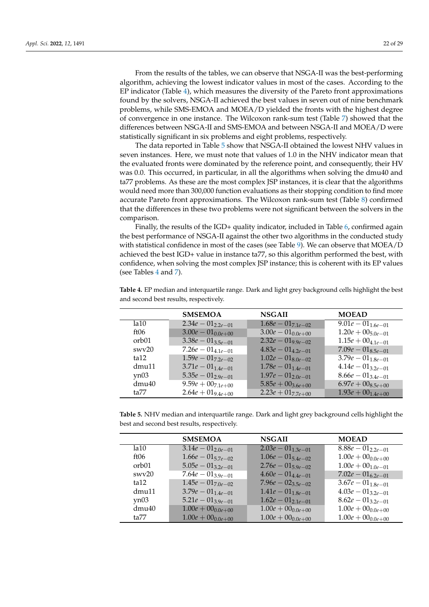From the results of the tables, we can observe that NSGA-II was the best-performing algorithm, achieving the lowest indicator values in most of the cases. According to the EP indicator (Table  $4$ ), which measures the diversity of the Pareto front approximations found by the solvers, NSGA-II achieved the best values in seven out of nine benchmark problems, while SMS-EMOA and MOEA/D yielded the fronts with the highest degree of convergence in one instance. The Wilcoxon rank-sum test (Table [7\)](#page-22-1) showed that the differences between NSGA-II and SMS-EMOA and between NSGA-II and MOEA/D were statistically significant in six problems and eight problems, respectively.

The data reported in Table [5](#page-21-1) show that NSGA-II obtained the lowest NHV values in seven instances. Here, we must note that values of 1.0 in the NHV indicator mean that the evaluated fronts were dominated by the reference point, and consequently, their HV was 0.0. This occurred, in particular, in all the algorithms when solving the dmu40 and ta77 problems. As these are the most complex JSP instances, it is clear that the algorithms would need more than 300,000 function evaluations as their stopping condition to find more accurate Pareto front approximations. The Wilcoxon rank-sum test (Table [8\)](#page-22-3) confirmed that the differences in these two problems were not significant between the solvers in the comparison.

Finally, the results of the IGD+ quality indicator, included in Table [6,](#page-22-0) confirmed again the best performance of NSGA-II against the other two algorithms in the conducted study with statistical confidence in most of the cases (see Table [9\)](#page-22-2). We can observe that MOEA/D achieved the best IGD+ value in instance ta77, so this algorithm performed the best, with confidence, when solving the most complex JSP instance; this is coherent with its EP values (see Tables [4](#page-21-0) and [7\)](#page-22-1).

| $1.68e - 01_{7.1e-02}$<br>$\overline{9.01e} - 01_{1.6e-01}$<br>la 10<br>$3.00e - 01_{0.0e + 00}$<br>$3.00e - 01_{0.0e + 00}$<br>$1.20e + 00_{5.0e-01}$<br>ft06<br>$2.32e - 019.9e - 02$<br>$3.38e - 01_{3.5e-01}$<br>$1.15e + 00_{4.1e-01}$<br>orb <sub>01</sub><br>swv20 | <b>SMSEMOA</b>         | <b>NSGAII</b>          | <b>MOEAD</b>           |
|---------------------------------------------------------------------------------------------------------------------------------------------------------------------------------------------------------------------------------------------------------------------------|------------------------|------------------------|------------------------|
|                                                                                                                                                                                                                                                                           | $2.34e - 01_{2,2e-01}$ |                        |                        |
|                                                                                                                                                                                                                                                                           |                        |                        |                        |
|                                                                                                                                                                                                                                                                           |                        |                        |                        |
|                                                                                                                                                                                                                                                                           | $7.26e - 01_{4.1e-01}$ | $4.83e - 01_{4,2e-01}$ | $7.09e - 01_{8.5e-01}$ |
| $1.59e - 01_{7.2e-02}$<br>$1.02e - 01_{8.0e-02}$<br>$3.79e - 01_{1.8e-01}$<br>ta12                                                                                                                                                                                        |                        |                        |                        |
| $3.71e - 01_{1.4e-01}$<br>$1.78e - 01_{1.4e-01}$<br>$4.14e - 01_{3.2e-01}$<br>dmu11                                                                                                                                                                                       |                        |                        |                        |
| $5.35e - 01_{2.9e-01}$<br>$1.97e - 01_{2.0e-01}$<br>$8.66e - 01_{3.4e-01}$<br>yn03                                                                                                                                                                                        |                        |                        |                        |
| $\overline{9.59e} + 00_{7.1e+00}$<br>$5.85e + 00_{3.6e+00}$<br>$6.97e + 00_{8.5e+00}$<br>dmu40                                                                                                                                                                            |                        |                        |                        |
| $2.64e + 01_{9.4e + 00}$<br>$2.23e + 017.7e + 00$<br>$1.93e + 00_{1.4e+00}$<br>ta77                                                                                                                                                                                       |                        |                        |                        |

<span id="page-21-0"></span>**Table 4.** EP median and interquartile range. Dark and light grey background cells highlight the best and second best results, respectively.

<span id="page-21-1"></span>**Table 5.** NHV median and interquartile range. Dark and light grey background cells highlight the best and second best results, respectively.

|       | <b>SMSEMOA</b>                    | <b>NSGAII</b>            | <b>MOEAD</b>             |
|-------|-----------------------------------|--------------------------|--------------------------|
| la 10 | $\overline{3.14e} - 01_{2.0e-01}$ | $2.03e - 01_{1.3e-01}$   | $8.88e - 01_{2.2e-01}$   |
| ft06  | $1.66e - 01_{5.7e-02}$            | $1.06e - 01_{5.4e-02}$   | $1.00e + 00_{0.0e + 00}$ |
| orb01 | $5.05e - 01_{3.2e-01}$            | $2.76e - 01_{5.9e-02}$   | $1.00e + 00_{1.0e-01}$   |
| swv20 | $7.64e - 01_{3.9e-01}$            | $4.60e - 01_{4,4e-01}$   | $7.02e - 01_{6.2e-01}$   |
| ta12  | $1.45e - 01_{7.0e-02}$            | $7.96e - 02_{3.5e-02}$   | $3.67e - 01_{1.8e-01}$   |
| dmu11 | $3.79e - 01_{1.4e-01}$            | $1.41e - 01_{1.8e-01}$   | $4.03e - 01_{3.2e-01}$   |
| yn03  | $5.21e - 01_{3.9e-01}$            | $1.62e - 01_{2.1e-01}$   | $8.62e - 01_{3,2e-01}$   |
| dmu40 | $1.00e + 00_{0.0e + 00}$          | $1.00e + 00_{0.0e + 00}$ | $1.00e + 00_{0.0e + 00}$ |
| ta77  | $1.00e + 00_{0.0e + 00}$          | $1.00e + 00_{0.0e + 00}$ | $1.00e + 00_{0.0e + 00}$ |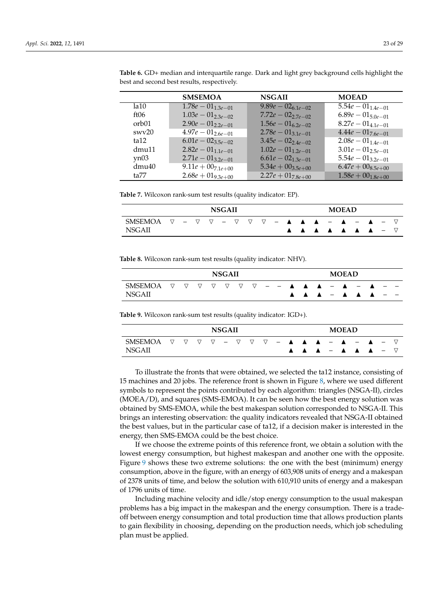|                   | <b>SMSEMOA</b>                    | <b>NSGAII</b>                 | <b>MOEAD</b>                      |
|-------------------|-----------------------------------|-------------------------------|-----------------------------------|
| 1a10              | $\overline{1.78e} - 01_{1.3e-01}$ | $\sqrt{9.89e} - 02_{6.1e-02}$ | $\overline{5.54e} - 01_{1.4e-01}$ |
| ft06              | $1.03e - 01_{2,3e-02}$            | $7.72e - 02_{2.7e-02}$        | $6.89e - 01_{5.0e-01}$            |
| orb01             | $2.90e - 01_{2.2e-01}$            | $1.56e - 01_{6.2e-02}$        | $8.27e - 01_{4.1e-01}$            |
| swv20             | $\overline{4.97e} - 01_{2.6e-01}$ | $2.78e - 01_{3.1e-01}$        | $4.44e - 01_{7.6e-01}$            |
| ta12              | $6.01e - 02_{3.5e-02}$            | $3.45e - 02_{2.4e-02}$        | $2.08e - 01_{1.4e-01}$            |
| dmu11             | $2.82e - 01_{1.1e-01}$            | $1.02e - 01_{1,2e-01}$        | $3.01e - 01_{2.5e-01}$            |
| yn03              | $2.71e - 01_{3.2e-01}$            | $6.61e - 02_{1.3e-01}$        | $5.54e - 01_{3.2e-01}$            |
| dmu <sub>40</sub> | $9.11e + 00$ <sub>7.1e+00</sub>   | $5.34e + 00_{3.5e+0.01}$      | $6.47e + 00_{8.5e+00}$            |
| ta77              | $2.68e + 019.3e + 00$             | $2.27e + 01_{7.8e+00}$        | $1.58e + 00_{1.8e+0.01}$          |

<span id="page-22-0"></span>**Table 6.** GD+ median and interquartile range. Dark and light grey background cells highlight the best and second best results, respectively.

<span id="page-22-1"></span>**Table 7.** Wilcoxon rank-sum test results (quality indicator: EP).

| <b>NSGAII</b> |  |  |  |  |  |  |  |  |  |  |  | <b>MOEAD</b> |                                                                                                                                                                                                                                  |  |  |
|---------------|--|--|--|--|--|--|--|--|--|--|--|--------------|----------------------------------------------------------------------------------------------------------------------------------------------------------------------------------------------------------------------------------|--|--|
| SMSEMOA       |  |  |  |  |  |  |  |  |  |  |  |              | $\triangledown \ \ - \ \ \triangledown \ \ \triangledown \ \ - \ \ \triangledown \ \ \triangledown \ \ \ - \ \ \blacktriangle \ \ \ \blacktriangle \ \ \ \blacktriangle \ \ \ - \ \ \blacktriangle \ \ - \ \blacktriangle \ \ -$ |  |  |
| <b>NSGAII</b> |  |  |  |  |  |  |  |  |  |  |  |              |                                                                                                                                                                                                                                  |  |  |

<span id="page-22-3"></span>**Table 8.** Wilcoxon rank-sum test results (quality indicator: NHV).

| <b>NSGAII</b>                                                                                                                                               |  |  |  |  |  |  |  |  |  |  |  | <b>MOEAD</b> |  |  |
|-------------------------------------------------------------------------------------------------------------------------------------------------------------|--|--|--|--|--|--|--|--|--|--|--|--------------|--|--|
| SMSEMOA $\nabla$ $\nabla$ $\nabla$ $\nabla$ $\nabla$ $\phi$ $\phi$ $  \blacktriangle$ $\blacktriangle$ $ \blacktriangle$ $ \blacktriangle$<br><b>NSGAII</b> |  |  |  |  |  |  |  |  |  |  |  |              |  |  |

<span id="page-22-2"></span>**Table 9.** Wilcoxon rank-sum test results (quality indicator: IGD+).

|               |          |  | <b>NSGAII</b> |  |  |  |  | <b>MOEAD</b> |                                                                                                                                                                                                          |  |  |
|---------------|----------|--|---------------|--|--|--|--|--------------|----------------------------------------------------------------------------------------------------------------------------------------------------------------------------------------------------------|--|--|
| SMSEMOA       | $\nabla$ |  |               |  |  |  |  |              | $\triangledown \ \triangledown \ \triangledown \ - \ \triangledown \ \triangledown \ \triangledown \ - \ \blacktriangle \ \ \blacktriangle \ \ \blacktriangle \ - \ \blacktriangle \ - \ \blacktriangle$ |  |  |
| <b>NSGAII</b> |          |  |               |  |  |  |  |              |                                                                                                                                                                                                          |  |  |

To illustrate the fronts that were obtained, we selected the ta12 instance, consisting of 15 machines and 20 jobs. The reference front is shown in Figure [8,](#page-23-1) where we used different symbols to represent the points contributed by each algorithm: triangles (NSGA-II), circles (MOEA/D), and squares (SMS-EMOA). It can be seen how the best energy solution was obtained by SMS-EMOA, while the best makespan solution corresponded to NSGA-II. This brings an interesting observation: the quality indicators revealed that NSGA-II obtained the best values, but in the particular case of ta12, if a decision maker is interested in the energy, then SMS-EMOA could be the best choice.

If we choose the extreme points of this reference front, we obtain a solution with the lowest energy consumption, but highest makespan and another one with the opposite. Figure [9](#page-23-2) shows these two extreme solutions: the one with the best (minimum) energy consumption, above in the figure, with an energy of 603,908 units of energy and a makespan of 2378 units of time, and below the solution with 610,910 units of energy and a makespan of 1796 units of time.

Including machine velocity and idle/stop energy consumption to the usual makespan problems has a big impact in the makespan and the energy consumption. There is a tradeoff between energy consumption and total production time that allows production plants to gain flexibility in choosing, depending on the production needs, which job scheduling plan must be applied.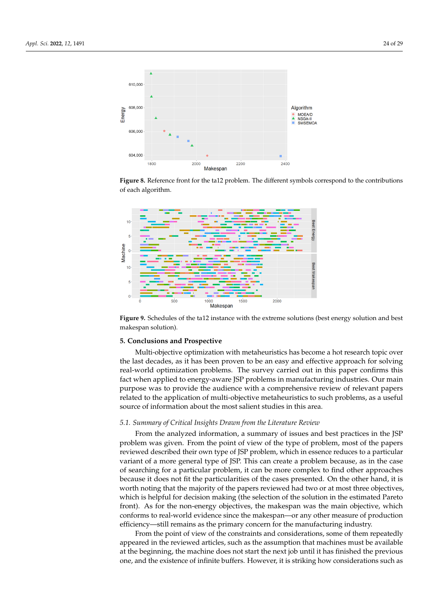<span id="page-23-1"></span>

**Figure 8.** Reference front for the ta12 problem. The different symbols correspond to the contributions of each algorithm.

<span id="page-23-2"></span>

**Figure 9.** Schedules of the ta12 instance with the extreme solutions (best energy solution and best makespan solution).

#### <span id="page-23-0"></span>**5. Conclusions and Prospective**

Multi-objective optimization with metaheuristics has become a hot research topic over the last decades, as it has been proven to be an easy and effective approach for solving real-world optimization problems. The survey carried out in this paper confirms this fact when applied to energy-aware JSP problems in manufacturing industries. Our main purpose was to provide the audience with a comprehensive review of relevant papers related to the application of multi-objective metaheuristics to such problems, as a useful source of information about the most salient studies in this area.

## *5.1. Summary of Critical Insights Drawn from the Literature Review*

From the analyzed information, a summary of issues and best practices in the JSP problem was given. From the point of view of the type of problem, most of the papers reviewed described their own type of JSP problem, which in essence reduces to a particular variant of a more general type of JSP. This can create a problem because, as in the case of searching for a particular problem, it can be more complex to find other approaches because it does not fit the particularities of the cases presented. On the other hand, it is worth noting that the majority of the papers reviewed had two or at most three objectives, which is helpful for decision making (the selection of the solution in the estimated Pareto front). As for the non-energy objectives, the makespan was the main objective, which conforms to real-world evidence since the makespan—or any other measure of production efficiency—still remains as the primary concern for the manufacturing industry.

From the point of view of the constraints and considerations, some of them repeatedly appeared in the reviewed articles, such as the assumption that machines must be available at the beginning, the machine does not start the next job until it has finished the previous one, and the existence of infinite buffers. However, it is striking how considerations such as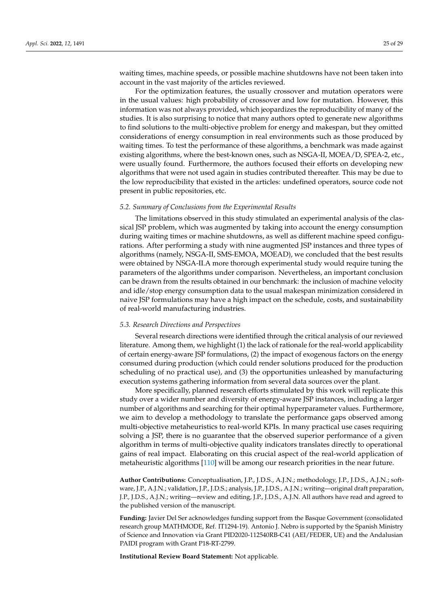waiting times, machine speeds, or possible machine shutdowns have not been taken into account in the vast majority of the articles reviewed.

For the optimization features, the usually crossover and mutation operators were in the usual values: high probability of crossover and low for mutation. However, this information was not always provided, which jeopardizes the reproducibility of many of the studies. It is also surprising to notice that many authors opted to generate new algorithms to find solutions to the multi-objective problem for energy and makespan, but they omitted considerations of energy consumption in real environments such as those produced by waiting times. To test the performance of these algorithms, a benchmark was made against existing algorithms, where the best-known ones, such as NSGA-II, MOEA/D, SPEA-2, etc., were usually found. Furthermore, the authors focused their efforts on developing new algorithms that were not used again in studies contributed thereafter. This may be due to the low reproducibility that existed in the articles: undefined operators, source code not present in public repositories, etc.

#### *5.2. Summary of Conclusions from the Experimental Results*

The limitations observed in this study stimulated an experimental analysis of the classical JSP problem, which was augmented by taking into account the energy consumption during waiting times or machine shutdowns, as well as different machine speed configurations. After performing a study with nine augmented JSP instances and three types of algorithms (namely, NSGA-II, SMS-EMOA, MOEAD), we concluded that the best results were obtained by NSGA-II.A more thorough experimental study would require tuning the parameters of the algorithms under comparison. Nevertheless, an important conclusion can be drawn from the results obtained in our benchmark: the inclusion of machine velocity and idle/stop energy consumption data to the usual makespan minimization considered in naive JSP formulations may have a high impact on the schedule, costs, and sustainability of real-world manufacturing industries.

#### *5.3. Research Directions and Perspectives*

Several research directions were identified through the critical analysis of our reviewed literature. Among them, we highlight (1) the lack of rationale for the real-world applicability of certain energy-aware JSP formulations, (2) the impact of exogenous factors on the energy consumed during production (which could render solutions produced for the production scheduling of no practical use), and (3) the opportunities unleashed by manufacturing execution systems gathering information from several data sources over the plant.

More specifically, planned research efforts stimulated by this work will replicate this study over a wider number and diversity of energy-aware JSP instances, including a larger number of algorithms and searching for their optimal hyperparameter values. Furthermore, we aim to develop a methodology to translate the performance gaps observed among multi-objective metaheuristics to real-world KPIs. In many practical use cases requiring solving a JSP, there is no guarantee that the observed superior performance of a given algorithm in terms of multi-objective quality indicators translates directly to operational gains of real impact. Elaborating on this crucial aspect of the real-world application of metaheuristic algorithms [\[110\]](#page-28-27) will be among our research priorities in the near future.

**Author Contributions:** Conceptualisation, J.P., J.D.S., A.J.N.; methodology, J.P., J.D.S., A.J.N.; software, J.P., A.J.N.; validation, J.P., J.D.S.; analysis, J.P., J.D.S., A.J.N.; writing—original draft preparation, J.P., J.D.S., A.J.N.; writing—review and editing, J.P., J.D.S., A.J.N. All authors have read and agreed to the published version of the manuscript.

**Funding:** Javier Del Ser acknowledges funding support from the Basque Government (consolidated research group MATHMODE, Ref. IT1294-19). Antonio J. Nebro is supported by the Spanish Ministry of Science and Innovation via Grant PID2020-112540RB-C41 (AEI/FEDER, UE) and the Andalusian PAIDI program with Grant P18-RT-2799.

**Institutional Review Board Statement:** Not applicable.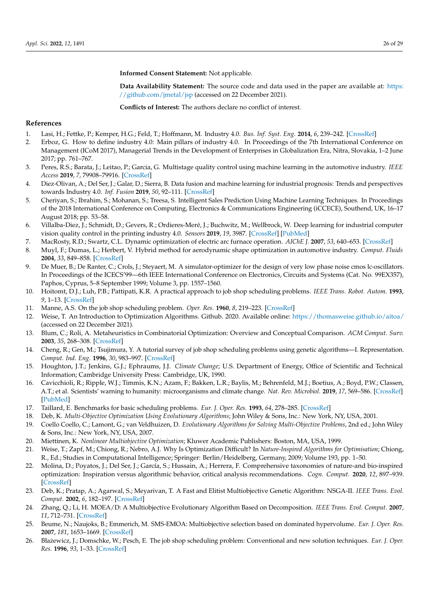**Informed Consent Statement:** Not applicable.

**Data Availability Statement:** The source code and data used in the paper are available at: [https:](https://github.com/jmetal/jsp) [//github.com/jmetal/jsp](https://github.com/jmetal/jsp) (accessed on 22 December 2021).

**Conflicts of Interest:** The authors declare no conflict of interest.

# **References**

- <span id="page-25-0"></span>1. Lasi, H.; Fettke, P.; Kemper, H.G.; Feld, T.; Hoffmann, M. Industry 4.0. *Bus. Inf. Syst. Eng.* **2014**, *6*, 239–242. [\[CrossRef\]](http://doi.org/10.1007/s12599-014-0334-4)
- <span id="page-25-1"></span>2. Erboz, G. How to define industry 4.0: Main pillars of industry 4.0. In Proceedings of the 7th International Conference on Management (ICoM 2017), Managerial Trends in the Development of Enterprises in Globalization Era, Nitra, Slovakia, 1–2 June 2017; pp. 761–767.
- <span id="page-25-2"></span>3. Peres, R.S.; Barata, J.; Leitao, P.; Garcia, G. Multistage quality control using machine learning in the automotive industry. *IEEE Access* **2019**, *7*, 79908–79916. [\[CrossRef\]](http://dx.doi.org/10.1109/ACCESS.2019.2923405)
- <span id="page-25-3"></span>4. Diez-Olivan, A.; Del Ser, J.; Galar, D.; Sierra, B. Data fusion and machine learning for industrial prognosis: Trends and perspectives towards Industry 4.0. *Inf. Fusion* **2019**, *50*, 92–111. [\[CrossRef\]](http://dx.doi.org/10.1016/j.inffus.2018.10.005)
- <span id="page-25-4"></span>5. Cheriyan, S.; Ibrahim, S.; Mohanan, S.; Treesa, S. Intelligent Sales Prediction Using Machine Learning Techniques. In Proceedings of the 2018 International Conference on Computing, Electronics & Communications Engineering (iCCECE), Southend, UK, 16–17 August 2018; pp. 53–58.
- <span id="page-25-5"></span>6. Villalba-Diez, J.; Schmidt, D.; Gevers, R.; Ordieres-Meré, J.; Buchwitz, M.; Wellbrock, W. Deep learning for industrial computer vision quality control in the printing industry 4.0. *Sensors* **2019**, *19*, 3987. [\[CrossRef\]](http://dx.doi.org/10.3390/s19183987) [\[PubMed\]](http://www.ncbi.nlm.nih.gov/pubmed/31540187)
- <span id="page-25-6"></span>7. MacRosty, R.D.; Swartz, C.L. Dynamic optimization of electric arc furnace operation. *AIChE J.* **2007**, *53*, 640–653. [\[CrossRef\]](http://dx.doi.org/10.1002/aic.11104)
- <span id="page-25-7"></span>8. Muyl, F.; Dumas, L.; Herbert, V. Hybrid method for aerodynamic shape optimization in automotive industry. *Comput. Fluids* **2004**, *33*, 849–858. [\[CrossRef\]](http://dx.doi.org/10.1016/j.compfluid.2003.06.007)
- <span id="page-25-8"></span>9. De Muer, B.; De Ranter, C.; Crols, J.; Steyaert, M. A simulator-optimizer for the design of very low phase noise cmos lc-oscillators. In Proceedings of the ICECS'99—6th IEEE International Conference on Electronics, Circuits and Systems (Cat. No. 99EX357), Paphos, Cyprus, 5–8 September 1999; Volume 3, pp. 1557–1560.
- <span id="page-25-9"></span>10. Hoitomt, D.J.; Luh, P.B.; Pattipati, K.R. A practical approach to job shop scheduling problems. *IEEE Trans. Robot. Autom.* **1993**, *9*, 1–13. [\[CrossRef\]](http://dx.doi.org/10.1109/70.210791)
- <span id="page-25-10"></span>11. Manne, A.S. On the job shop scheduling problem. *Oper. Res.* **1960**, *8*, 219–223. [\[CrossRef\]](http://dx.doi.org/10.1287/opre.8.2.219)
- <span id="page-25-11"></span>12. Weise, T. An Introduction to Optimization Algorithms. Github. 2020. Available online: <https://thomasweise.github.io/aitoa/> (accessed on 22 December 2021).
- <span id="page-25-12"></span>13. Blum, C.; Roli, A. Metaheuristics in Combinatorial Optimization: Overview and Conceptual Comparison. *ACM Comput. Surv.* **2003**, *35*, 268–308. [\[CrossRef\]](http://dx.doi.org/10.1145/937503.937505)
- <span id="page-25-13"></span>14. Cheng, R.; Gen, M.; Tsujimura, Y. A tutorial survey of job shop scheduling problems using genetic algorithms—I. Representation. *Comput. Ind. Eng.* **1996**, *30*, 983–997. [\[CrossRef\]](http://dx.doi.org/10.1016/0360-8352(96)00047-2)
- <span id="page-25-14"></span>15. Houghton, J.T.; Jenkins, G.J.; Ephraums, J.J. *Climate Change*; U.S. Department of Energy, Office of Scientific and Technical Information; Cambridge University Press: Cambridge, UK, 1990.
- <span id="page-25-15"></span>16. Cavicchioli, R.; Ripple, W.J.; Timmis, K.N.; Azam, F.; Bakken, L.R.; Baylis, M.; Behrenfeld, M.J.; Boetius, A.; Boyd, P.W.; Classen, A.T.; et al. Scientists' warning to humanity: microorganisms and climate change. *Nat. Rev. Microbiol.* **2019**, *17*, 569–586. [\[CrossRef\]](http://dx.doi.org/10.1038/s41579-019-0222-5) [\[PubMed\]](http://www.ncbi.nlm.nih.gov/pubmed/31213707)
- <span id="page-25-16"></span>17. Taillard, E. Benchmarks for basic scheduling problems. *Eur. J. Oper. Res.* **1993**, *64*, 278–285. [\[CrossRef\]](http://dx.doi.org/10.1016/0377-2217(93)90182-M)
- <span id="page-25-17"></span>18. Deb, K. *Multi-Objective Optimization Using Evolutionary Algorithms*; John Wiley & Sons, Inc.: New York, NY, USA, 2001.
- <span id="page-25-18"></span>19. Coello Coello, C.; Lamont, G.; van Veldhuizen, D. *Evolutionary Algorithms for Solving Multi-Objective Problems*, 2nd ed.; John Wiley & Sons, Inc.: New York, NY, USA, 2007.
- <span id="page-25-19"></span>20. Miettinen, K. *Nonlinear Multiobjective Optimization*; Kluwer Academic Publishers: Boston, MA, USA, 1999.
- <span id="page-25-20"></span>21. Weise, T.; Zapf, M.; Chiong, R.; Nebro, A.J. Why Is Optimization Difficult? In *Nature-Inspired Algorithms for Optimisation*; Chiong, R., Ed.; Studies in Computational Intelligence; Springer: Berlin/Heidelberg, Germany, 2009; Volume 193, pp. 1–50.
- <span id="page-25-21"></span>22. Molina, D.; Poyatos, J.; Del Ser, J.; García, S.; Hussain, A.; Herrera, F. Comprehensive taxonomies of nature-and bio-inspired optimization: Inspiration versus algorithmic behavior, critical analysis recommendations. *Cogn. Comput.* **2020**, *12*, 897–939. [\[CrossRef\]](http://dx.doi.org/10.1007/s12559-020-09730-8)
- <span id="page-25-22"></span>23. Deb, K.; Pratap, A.; Agarwal, S.; Meyarivan, T. A Fast and Elitist Multiobjective Genetic Algorithm: NSGA-II. *IEEE Trans. Evol. Comput.* **2002**, *6*, 182–197. [\[CrossRef\]](http://dx.doi.org/10.1109/4235.996017)
- <span id="page-25-23"></span>24. Zhang, Q.; Li, H. MOEA/D: A Multiobjective Evolutionary Algorithm Based on Decomposition. *IEEE Trans. Evol. Comput.* **2007**, *11*, 712–731. [\[CrossRef\]](http://dx.doi.org/10.1109/TEVC.2007.892759)
- <span id="page-25-24"></span>25. Beume, N.; Naujoks, B.; Emmerich, M. SMS-EMOA: Multiobjective selection based on dominated hypervolume. *Eur. J. Oper. Res.* **2007**, *181*, 1653–1669. [\[CrossRef\]](http://dx.doi.org/10.1016/j.ejor.2006.08.008)
- <span id="page-25-25"></span>26. Błażewicz, J.; Domschke, W.; Pesch, E. The job shop scheduling problem: Conventional and new solution techniques. *Eur. J. Oper. Res.* **1996**, *93*, 1–33. [\[CrossRef\]](http://dx.doi.org/10.1016/0377-2217(95)00362-2)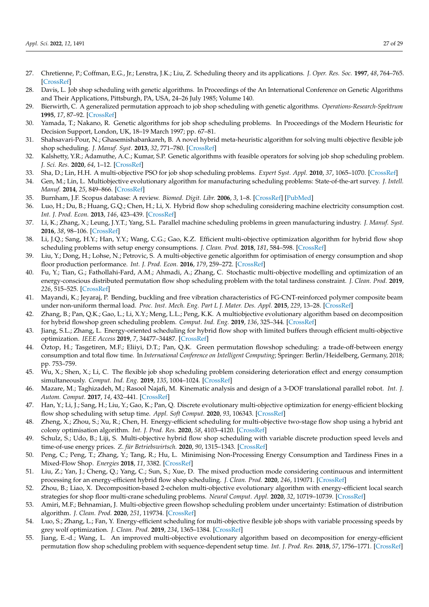- <span id="page-26-0"></span>27. Chretienne, P.; Coffman, E.G., Jr.; Lenstra, J.K.; Liu, Z. Scheduling theory and its applications. *J. Oper. Res. Soc.* **1997**, *48*, 764–765. [\[CrossRef\]](http://dx.doi.org/10.1057/palgrave.jors.2600829)
- <span id="page-26-1"></span>28. Davis, L. Job shop scheduling with genetic algorithms. In Proceedings of the An International Conference on Genetic Algorithms and Their Applications, Pittsburgh, PA, USA, 24–26 July 1985; Volume 140.
- 29. Bierwirth, C. A generalized permutation approach to job shop scheduling with genetic algorithms. *Operations-Research-Spektrum* **1995**, *17*, 87–92. [\[CrossRef\]](http://dx.doi.org/10.1007/BF01719250)
- <span id="page-26-2"></span>30. Yamada, T.; Nakano, R. Genetic algorithms for job shop scheduling problems. In Proceedings of the Modern Heuristic for Decision Support, London, UK, 18–19 March 1997; pp. 67–81.
- <span id="page-26-3"></span>31. Shahsavari-Pour, N.; Ghasemishabankareh, B. A novel hybrid meta-heuristic algorithm for solving multi objective flexible job shop scheduling. *J. Manuf. Syst.* **2013**, *32*, 771–780. [\[CrossRef\]](http://dx.doi.org/10.1016/j.jmsy.2013.04.015)
- <span id="page-26-4"></span>32. Kalshetty, Y.R.; Adamuthe, A.C.; Kumar, S.P. Genetic algorithms with feasible operators for solving job shop scheduling problem. *J. Sci. Res.* **2020**, *64*, 1–12. [\[CrossRef\]](http://dx.doi.org/10.37398/JSR.2020.640157)
- <span id="page-26-5"></span>33. Sha, D.; Lin, H.H. A multi-objective PSO for job shop scheduling problems. *Expert Syst. Appl.* **2010**, *37*, 1065–1070. [\[CrossRef\]](http://dx.doi.org/10.1016/j.eswa.2009.06.041)
- <span id="page-26-6"></span>34. Gen, M.; Lin, L. Multiobjective evolutionary algorithm for manufacturing scheduling problems: State-of-the-art survey. *J. Intell. Manuf.* **2014**, *25*, 849–866. [\[CrossRef\]](http://dx.doi.org/10.1007/s10845-013-0804-4)
- <span id="page-26-7"></span>35. Burnham, J.F. Scopus database: A review. *Biomed. Digit. Libr.* **2006**, *3*, 1–8. [\[CrossRef\]](http://dx.doi.org/10.1186/1742-5581-3-1) [\[PubMed\]](http://www.ncbi.nlm.nih.gov/pubmed/16522216)
- <span id="page-26-8"></span>36. Luo, H.; Du, B.; Huang, G.Q.; Chen, H.; Li, X. Hybrid flow shop scheduling considering machine electricity consumption cost. *Int. J. Prod. Econ.* **2013**, *146*, 423–439. [\[CrossRef\]](http://dx.doi.org/10.1016/j.ijpe.2013.01.028)
- <span id="page-26-9"></span>37. Li, K.; Zhang, X.; Leung, J.Y.T.; Yang, S.L. Parallel machine scheduling problems in green manufacturing industry. *J. Manuf. Syst.* **2016**, *38*, 98–106. [\[CrossRef\]](http://dx.doi.org/10.1016/j.jmsy.2015.11.006)
- <span id="page-26-10"></span>38. Li, J.Q.; Sang, H.Y.; Han, Y.Y.; Wang, C.G.; Gao, K.Z. Efficient multi-objective optimization algorithm for hybrid flow shop scheduling problems with setup energy consumptions. *J. Clean. Prod.* **2018**, *181*, 584–598. [\[CrossRef\]](http://dx.doi.org/10.1016/j.jclepro.2018.02.004)
- <span id="page-26-11"></span>39. Liu, Y.; Dong, H.; Lohse, N.; Petrovic, S. A multi-objective genetic algorithm for optimisation of energy consumption and shop floor production performance. *Int. J. Prod. Econ.* **2016**, *179*, 259–272. [\[CrossRef\]](http://dx.doi.org/10.1016/j.ijpe.2016.06.019)
- <span id="page-26-12"></span>40. Fu, Y.; Tian, G.; Fathollahi-Fard, A.M.; Ahmadi, A.; Zhang, C. Stochastic multi-objective modelling and optimization of an energy-conscious distributed permutation flow shop scheduling problem with the total tardiness constraint. *J. Clean. Prod.* **2019**, *226*, 515–525. [\[CrossRef\]](http://dx.doi.org/10.1016/j.jclepro.2019.04.046)
- <span id="page-26-13"></span>41. Mayandi, K.; Jeyaraj, P. Bending, buckling and free vibration characteristics of FG-CNT-reinforced polymer composite beam under non-uniform thermal load. *Proc. Inst. Mech. Eng. Part L J. Mater. Des. Appl.* **2015**, *229*, 13–28. [\[CrossRef\]](http://dx.doi.org/10.1177/1464420713493720)
- <span id="page-26-14"></span>42. Zhang, B.; Pan, Q.K.; Gao, L.; Li, X.Y.; Meng, L.L.; Peng, K.K. A multiobjective evolutionary algorithm based on decomposition for hybrid flowshop green scheduling problem. *Comput. Ind. Eng.* **2019**, *136*, 325–344. [\[CrossRef\]](http://dx.doi.org/10.1016/j.cie.2019.07.036)
- <span id="page-26-15"></span>43. Jiang, S.L.; Zhang, L. Energy-oriented scheduling for hybrid flow shop with limited buffers through efficient multi-objective optimization. *IEEE Access* **2019**, *7*, 34477–34487. [\[CrossRef\]](http://dx.doi.org/10.1109/ACCESS.2019.2904848)
- <span id="page-26-16"></span>44. Öztop, H.; Tasgetiren, M.F.; Eliiyi, D.T.; Pan, Q.K. Green permutation flowshop scheduling: a trade-off-between energy consumption and total flow time. In *International Conference on Intelligent Computing*; Springer: Berlin/Heidelberg, Germany, 2018; pp. 753–759.
- <span id="page-26-17"></span>45. Wu, X.; Shen, X.; Li, C. The flexible job shop scheduling problem considering deterioration effect and energy consumption simultaneously. *Comput. Ind. Eng.* **2019**, *135*, 1004–1024. [\[CrossRef\]](http://dx.doi.org/10.1016/j.cie.2019.06.048)
- <span id="page-26-18"></span>46. Mazare, M.; Taghizadeh, M.; Rasool Najafi, M. Kinematic analysis and design of a 3-DOF translational parallel robot. *Int. J. Autom. Comput.* **2017**, *14*, 432–441. [\[CrossRef\]](http://dx.doi.org/10.1007/s11633-017-1066-y)
- <span id="page-26-19"></span>47. Han, Y.; Li, J.; Sang, H.; Liu, Y.; Gao, K.; Pan, Q. Discrete evolutionary multi-objective optimization for energy-efficient blocking flow shop scheduling with setup time. *Appl. Soft Comput.* **2020**, *93*, 106343. [\[CrossRef\]](http://dx.doi.org/10.1016/j.asoc.2020.106343)
- <span id="page-26-20"></span>48. Zheng, X.; Zhou, S.; Xu, R.; Chen, H. Energy-efficient scheduling for multi-objective two-stage flow shop using a hybrid ant colony optimisation algorithm. *Int. J. Prod. Res.* **2020**, *58*, 4103–4120. [\[CrossRef\]](http://dx.doi.org/10.1080/00207543.2019.1642529)
- <span id="page-26-21"></span>49. Schulz, S.; Udo, B.; Liji, S. Multi-objective hybrid flow shop scheduling with variable discrete production speed levels and time-of-use energy prices. *Z. für Betriebswirtsch.* **2020**, *90*, 1315–1343. [\[CrossRef\]](http://dx.doi.org/10.1007/s11573-020-00971-5)
- <span id="page-26-22"></span>50. Peng, C.; Peng, T.; Zhang, Y.; Tang, R.; Hu, L. Minimising Non-Processing Energy Consumption and Tardiness Fines in a Mixed-Flow Shop. *Energies* **2018**, *11*, 3382. [\[CrossRef\]](http://dx.doi.org/10.3390/en11123382)
- <span id="page-26-23"></span>51. Liu, Z.; Yan, J.; Cheng, Q.; Yang, C.; Sun, S.; Xue, D. The mixed production mode considering continuous and intermittent processing for an energy-efficient hybrid flow shop scheduling. *J. Clean. Prod.* **2020**, *246*, 119071. [\[CrossRef\]](http://dx.doi.org/10.1016/j.jclepro.2019.119071)
- <span id="page-26-24"></span>52. Zhou, B.; Liao, X. Decomposition-based 2-echelon multi-objective evolutionary algorithm with energy-efficient local search strategies for shop floor multi-crane scheduling problems. *Neural Comput. Appl.* **2020**, *32*, 10719–10739. [\[CrossRef\]](http://dx.doi.org/10.1007/s00521-019-04608-9)
- <span id="page-26-25"></span>53. Amiri, M.F.; Behnamian, J. Multi-objective green flowshop scheduling problem under uncertainty: Estimation of distribution algorithm. *J. Clean. Prod.* **2020**, *251*, 119734. [\[CrossRef\]](http://dx.doi.org/10.1016/j.jclepro.2019.119734)
- <span id="page-26-26"></span>54. Luo, S.; Zhang, L.; Fan, Y. Energy-efficient scheduling for multi-objective flexible job shops with variable processing speeds by grey wolf optimization. *J. Clean. Prod.* **2019**, *234*, 1365–1384. [\[CrossRef\]](http://dx.doi.org/10.1016/j.jclepro.2019.06.151)
- <span id="page-26-27"></span>55. Jiang, E.-d.; Wang, L. An improved multi-objective evolutionary algorithm based on decomposition for energy-efficient permutation flow shop scheduling problem with sequence-dependent setup time. *Int. J. Prod. Res.* **2018**, *57*, 1756–1771. [\[CrossRef\]](http://dx.doi.org/10.1080/00207543.2018.1504251)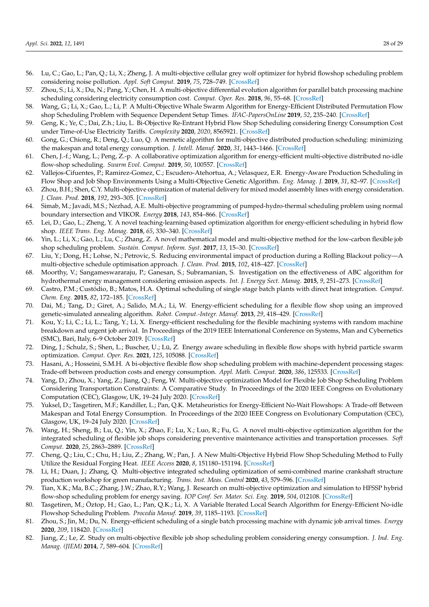- <span id="page-27-0"></span>56. Lu, C.; Gao, L.; Pan, Q.; Li, X.; Zheng, J. A multi-objective cellular grey wolf optimizer for hybrid flowshop scheduling problem considering noise pollution. *Appl. Soft Comput.* **2019**, *75*, 728–749. [\[CrossRef\]](http://dx.doi.org/10.1016/j.asoc.2018.11.043)
- <span id="page-27-1"></span>57. Zhou, S.; Li, X.; Du, N.; Pang, Y.; Chen, H. A multi-objective differential evolution algorithm for parallel batch processing machine scheduling considering electricity consumption cost. *Comput. Oper. Res.* **2018**, *96*, 55–68. [\[CrossRef\]](http://dx.doi.org/10.1016/j.cor.2018.04.009)
- <span id="page-27-2"></span>58. Wang, G.; Li, X.; Gao, L.; Li, P. A Multi-Objective Whale Swarm Algorithm for Energy-Efficient Distributed Permutation Flow shop Scheduling Problem with Sequence Dependent Setup Times. *IFAC-PapersOnLine* **2019**, *52*, 235–240. [\[CrossRef\]](http://dx.doi.org/10.1016/j.ifacol.2019.11.142)
- <span id="page-27-3"></span>59. Geng, K.; Ye, C.; Dai, Z.h.; Liu, L. Bi-Objective Re-Entrant Hybrid Flow Shop Scheduling considering Energy Consumption Cost under Time-of-Use Electricity Tariffs. *Complexity* **2020**, *2020*, 8565921. [\[CrossRef\]](http://dx.doi.org/10.1155/2020/8565921)
- <span id="page-27-4"></span>60. Gong, G.; Chiong, R.; Deng, Q.; Luo, Q. A memetic algorithm for multi-objective distributed production scheduling: minimizing the makespan and total energy consumption. *J. Intell. Manuf.* **2020**, *31*, 1443–1466. [\[CrossRef\]](http://dx.doi.org/10.1007/s10845-019-01521-9)
- <span id="page-27-5"></span>61. Chen, J.-f.; Wang, L.; Peng, Z.-p. A collaborative optimization algorithm for energy-efficient multi-objective distributed no-idle flow-shop scheduling. *Swarm Evol. Comput.* **2019**, *50*, 100557. [\[CrossRef\]](http://dx.doi.org/10.1016/j.swevo.2019.100557)
- <span id="page-27-6"></span>62. Vallejos-Cifuentes, P.; Ramirez-Gomez, C.; Escudero-Atehortua, A.; Velasquez, E.R. Energy-Aware Production Scheduling in Flow Shop and Job Shop Environments Using a Multi-Objective Genetic Algorithm. *Eng. Manag. J.* **2019**, *31*, 82–97. [\[CrossRef\]](http://dx.doi.org/10.1080/10429247.2018.1544798)
- <span id="page-27-7"></span>63. Zhou, B.H.; Shen, C.Y. Multi-objective optimization of material delivery for mixed model assembly lines with energy consideration. *J. Clean. Prod.* **2018**, *192*, 293–305. [\[CrossRef\]](http://dx.doi.org/10.1016/j.jclepro.2018.04.251)
- <span id="page-27-8"></span>64. Simab, M.; Javadi, M.S.; Nezhad, A.E. Multi-objective programming of pumped-hydro-thermal scheduling problem using normal boundary intersection and VIKOR. *Energy* **2018**, *143*, 854–866. [\[CrossRef\]](http://dx.doi.org/10.1016/j.energy.2017.09.144)
- <span id="page-27-9"></span>65. Lei, D.; Gao, L.; Zheng, Y. A novel teaching-learning-based optimization algorithm for energy-efficient scheduling in hybrid flow shop. *IEEE Trans. Eng. Manag.* **2018**, *65*, 330–340. [\[CrossRef\]](http://dx.doi.org/10.1109/TEM.2017.2774281)
- <span id="page-27-10"></span>66. Yin, L.; Li, X.; Gao, L.; Lu, C.; Zhang, Z. A novel mathematical model and multi-objective method for the low-carbon flexible job shop scheduling problem. *Sustain. Comput. Inform. Syst.* **2017**, *13*, 15–30. [\[CrossRef\]](http://dx.doi.org/10.1016/j.suscom.2016.11.002)
- <span id="page-27-11"></span>67. Liu, Y.; Dong, H.; Lohse, N.; Petrovic, S. Reducing environmental impact of production during a Rolling Blackout policy—A multi-objective schedule optimisation approach. *J. Clean. Prod.* **2015**, *102*, 418–427. [\[CrossRef\]](http://dx.doi.org/10.1016/j.jclepro.2015.04.038)
- <span id="page-27-12"></span>68. Moorthy, V.; Sangameswararaju, P.; Ganesan, S.; Subramanian, S. Investigation on the effectiveness of ABC algorithm for hydrothermal energy management considering emission aspects. *Int. J. Energy Sect. Manag.* **2015**, *9*, 251–273. [\[CrossRef\]](http://dx.doi.org/10.1108/IJESM-11-2013-0004)
- <span id="page-27-13"></span>69. Castro, P.M.; Custódio, B.; Matos, H.A. Optimal scheduling of single stage batch plants with direct heat integration. *Comput. Chem. Eng.* **2015**, *82*, 172–185. [\[CrossRef\]](http://dx.doi.org/10.1016/j.compchemeng.2015.07.006)
- <span id="page-27-14"></span>70. Dai, M.; Tang, D.; Giret, A.; Salido, M.A.; Li, W. Energy-efficient scheduling for a flexible flow shop using an improved genetic-simulated annealing algorithm. *Robot. Comput.-Integr. Manuf.* **2013**, *29*, 418–429. [\[CrossRef\]](http://dx.doi.org/10.1016/j.rcim.2013.04.001)
- <span id="page-27-15"></span>71. Kou, Y.; Li, C.; Li, L.; Tang, Y.; Li, X. Energy-efficient rescheduling for the flexible machining systems with random machine breakdown and urgent job arrival. In Proceedings of the 2019 IEEE International Conference on Systems, Man and Cybernetics (SMC), Bari, Italy, 6–9 October 2019. [\[CrossRef\]](http://dx.doi.org/10.1109/smc.2019.8914436)
- <span id="page-27-16"></span>72. Ding, J.; Schulz, S.; Shen, L.; Buscher, U.; Lü, Z. Energy aware scheduling in flexible flow shops with hybrid particle swarm optimization. *Comput. Oper. Res.* **2021**, *125*, 105088. [\[CrossRef\]](http://dx.doi.org/10.1016/j.cor.2020.105088)
- <span id="page-27-17"></span>73. Hasani, A.; Hosseini, S.M.H. A bi-objective flexible flow shop scheduling problem with machine-dependent processing stages: Trade-off between production costs and energy consumption. *Appl. Math. Comput.* **2020**, *386*, 125533. [\[CrossRef\]](http://dx.doi.org/10.1016/j.amc.2020.125533)
- <span id="page-27-18"></span>74. Yang, D.; Zhou, X.; Yang, Z.; Jiang, Q.; Feng, W. Multi-objective optimization Model for Flexible Job Shop Scheduling Problem Considering Transportation Constraints: A Comparative Study. In Proceedings of the 2020 IEEE Congress on Evolutionary Computation (CEC), Glasgow, UK, 19–24 July 2020. [\[CrossRef\]](http://dx.doi.org/10.1109/cec48606.2020.9185653)
- <span id="page-27-19"></span>75. Yuksel, D.; Tasgetiren, M.F.; Kandiller, L.; Pan, Q.K. Metaheuristics for Energy-Efficient No-Wait Flowshops: A Trade-off Between Makespan and Total Energy Consumption. In Proceedings of the 2020 IEEE Congress on Evolutionary Computation (CEC), Glasgow, UK, 19–24 July 2020. [\[CrossRef\]](http://dx.doi.org/10.1109/cec48606.2020.9185554)
- <span id="page-27-20"></span>76. Wang, H.; Sheng, B.; Lu, Q.; Yin, X.; Zhao, F.; Lu, X.; Luo, R.; Fu, G. A novel multi-objective optimization algorithm for the integrated scheduling of flexible job shops considering preventive maintenance activities and transportation processes. *Soft Comput.* **2020**, *25*, 2863–2889. [\[CrossRef\]](http://dx.doi.org/10.1007/s00500-020-05347-z)
- <span id="page-27-21"></span>77. Cheng, Q.; Liu, C.; Chu, H.; Liu, Z.; Zhang, W.; Pan, J. A New Multi-Objective Hybrid Flow Shop Scheduling Method to Fully Utilize the Residual Forging Heat. *IEEE Access* **2020**, *8*, 151180–151194. [\[CrossRef\]](http://dx.doi.org/10.1109/ACCESS.2020.3017239)
- <span id="page-27-22"></span>78. Li, H.; Duan, J.; Zhang, Q. Multi-objective integrated scheduling optimization of semi-combined marine crankshaft structure production workshop for green manufacturing. *Trans. Inst. Meas. Control* **2020**, *43*, 579–596. [\[CrossRef\]](http://dx.doi.org/10.1177/0142331220945917)
- <span id="page-27-23"></span>79. Tian, X.K.; Ma, B.C.; Zhang, J.W.; Zhao, R.Y.; Wang, J. Research on multi-objective optimization and simulation to HFSSP hybrid flow-shop scheduling problem for energy saving. *IOP Conf. Ser. Mater. Sci. Eng.* **2019**, *504*, 012108. [\[CrossRef\]](http://dx.doi.org/10.1088/1757-899X/504/1/012108)
- <span id="page-27-24"></span>80. Tasgetiren, M.; Öztop, H.; Gao, L.; Pan, Q.K.; Li, X. A Variable Iterated Local Search Algorithm for Energy-Efficient No-idle Flowshop Scheduling Problem. *Procedia Manuf.* **2019**, *39*, 1185–1193. [\[CrossRef\]](http://dx.doi.org/10.1016/j.promfg.2020.01.351)
- <span id="page-27-25"></span>81. Zhou, S.; Jin, M.; Du, N. Energy-efficient scheduling of a single batch processing machine with dynamic job arrival times. *Energy* **2020**, *209*, 118420. [\[CrossRef\]](http://dx.doi.org/10.1016/j.energy.2020.118420)
- <span id="page-27-26"></span>82. Jiang, Z.; Le, Z. Study on multi-objective flexible job shop scheduling problem considering energy consumption. *J. Ind. Eng. Manag. (JIEM)* **2014**, *7*, 589–604. [\[CrossRef\]](http://dx.doi.org/10.3926/jiem.1075)